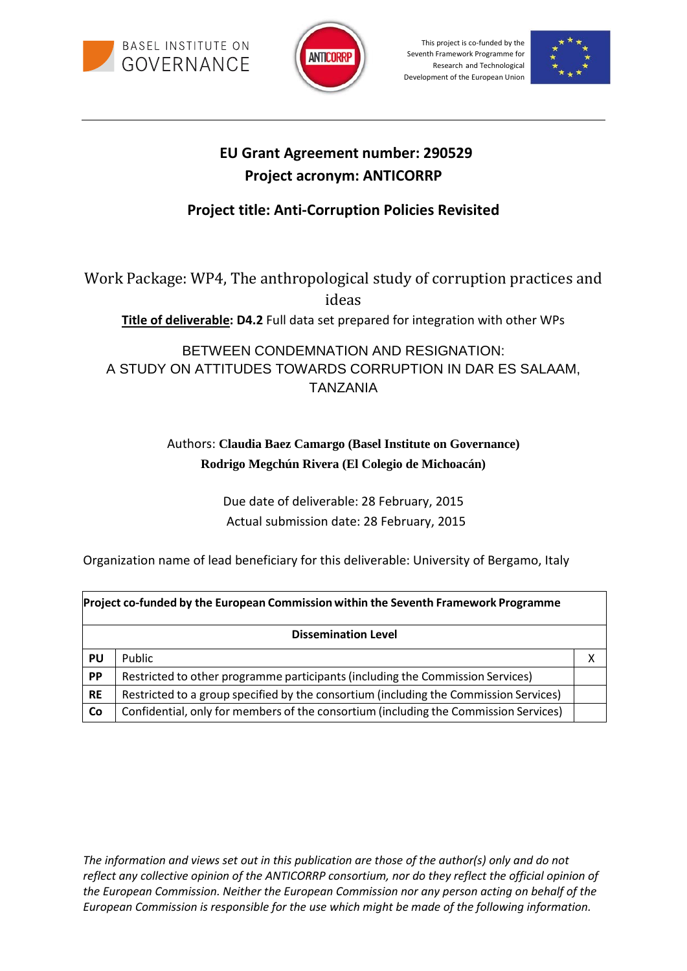





# **EU Grant Agreement number: 290529 Project acronym: ANTICORRP**

# **Project title: Anti-Corruption Policies Revisited**

Work Package: WP4, The anthropological study of corruption practices and

ideas

**Title of deliverable: D4.2** Full data set prepared for integration with other WPs

# BETWEEN CONDEMNATION AND RESIGNATION: A STUDY ON ATTITUDES TOWARDS CORRUPTION IN DAR ES SALAAM, TANZANIA

# Authors: **Claudia Baez Camargo (Basel Institute on Governance) Rodrigo Megchún Rivera (El Colegio de Michoacán)**

Due date of deliverable: 28 February, 2015 Actual submission date: 28 February, 2015

Organization name of lead beneficiary for this deliverable: University of Bergamo, Italy

| Project co-funded by the European Commission within the Seventh Framework Programme |                                                                                       |  |  |
|-------------------------------------------------------------------------------------|---------------------------------------------------------------------------------------|--|--|
| <b>Dissemination Level</b>                                                          |                                                                                       |  |  |
| <b>PU</b>                                                                           | Public                                                                                |  |  |
| <b>PP</b>                                                                           | Restricted to other programme participants (including the Commission Services)        |  |  |
| <b>RE</b>                                                                           | Restricted to a group specified by the consortium (including the Commission Services) |  |  |
| Co                                                                                  | Confidential, only for members of the consortium (including the Commission Services)  |  |  |

*The information and views set out in this publication are those of the author(s) only and do not reflect any collective opinion of the ANTICORRP consortium, nor do they reflect the official opinion of the European Commission. Neither the European Commission nor any person acting on behalf of the European Commission is responsible for the use which might be made of the following information.*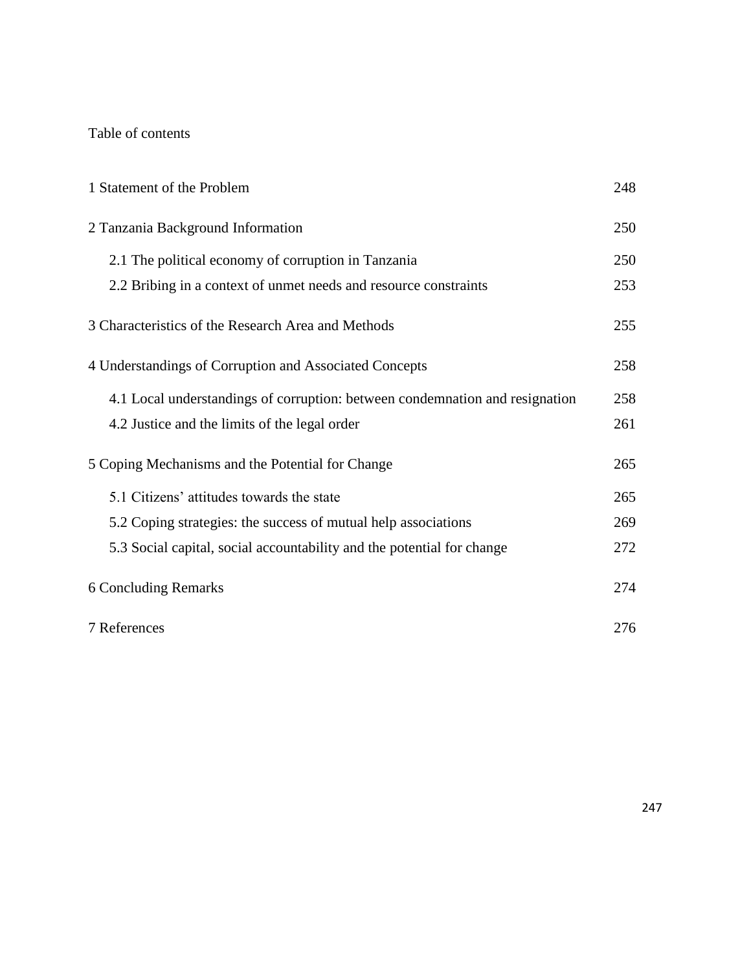# Table of contents

| 1 Statement of the Problem                                                   |     |
|------------------------------------------------------------------------------|-----|
| 2 Tanzania Background Information                                            |     |
| 2.1 The political economy of corruption in Tanzania                          | 250 |
| 2.2 Bribing in a context of unmet needs and resource constraints             | 253 |
| 3 Characteristics of the Research Area and Methods                           |     |
| 4 Understandings of Corruption and Associated Concepts                       |     |
| 4.1 Local understandings of corruption: between condemnation and resignation | 258 |
| 4.2 Justice and the limits of the legal order                                | 261 |
| 5 Coping Mechanisms and the Potential for Change                             |     |
| 5.1 Citizens' attitudes towards the state                                    | 265 |
| 5.2 Coping strategies: the success of mutual help associations               | 269 |
| 5.3 Social capital, social accountability and the potential for change       | 272 |
| <b>6 Concluding Remarks</b>                                                  |     |
| 7 References                                                                 |     |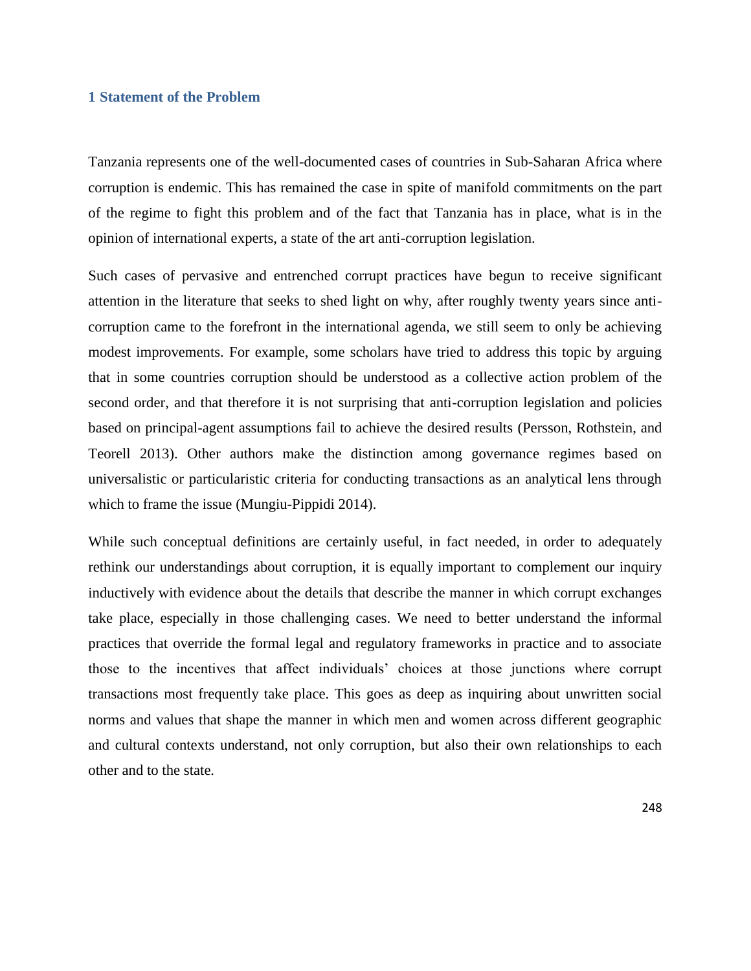#### **1 Statement of the Problem**

Tanzania represents one of the well-documented cases of countries in Sub-Saharan Africa where corruption is endemic. This has remained the case in spite of manifold commitments on the part of the regime to fight this problem and of the fact that Tanzania has in place, what is in the opinion of international experts, a state of the art anti-corruption legislation.

Such cases of pervasive and entrenched corrupt practices have begun to receive significant attention in the literature that seeks to shed light on why, after roughly twenty years since anticorruption came to the forefront in the international agenda, we still seem to only be achieving modest improvements. For example, some scholars have tried to address this topic by arguing that in some countries corruption should be understood as a collective action problem of the second order, and that therefore it is not surprising that anti-corruption legislation and policies based on principal-agent assumptions fail to achieve the desired results (Persson, Rothstein, and Teorell 2013). Other authors make the distinction among governance regimes based on universalistic or particularistic criteria for conducting transactions as an analytical lens through which to frame the issue (Mungiu-Pippidi 2014).

While such conceptual definitions are certainly useful, in fact needed, in order to adequately rethink our understandings about corruption, it is equally important to complement our inquiry inductively with evidence about the details that describe the manner in which corrupt exchanges take place, especially in those challenging cases. We need to better understand the informal practices that override the formal legal and regulatory frameworks in practice and to associate those to the incentives that affect individuals' choices at those junctions where corrupt transactions most frequently take place. This goes as deep as inquiring about unwritten social norms and values that shape the manner in which men and women across different geographic and cultural contexts understand, not only corruption, but also their own relationships to each other and to the state.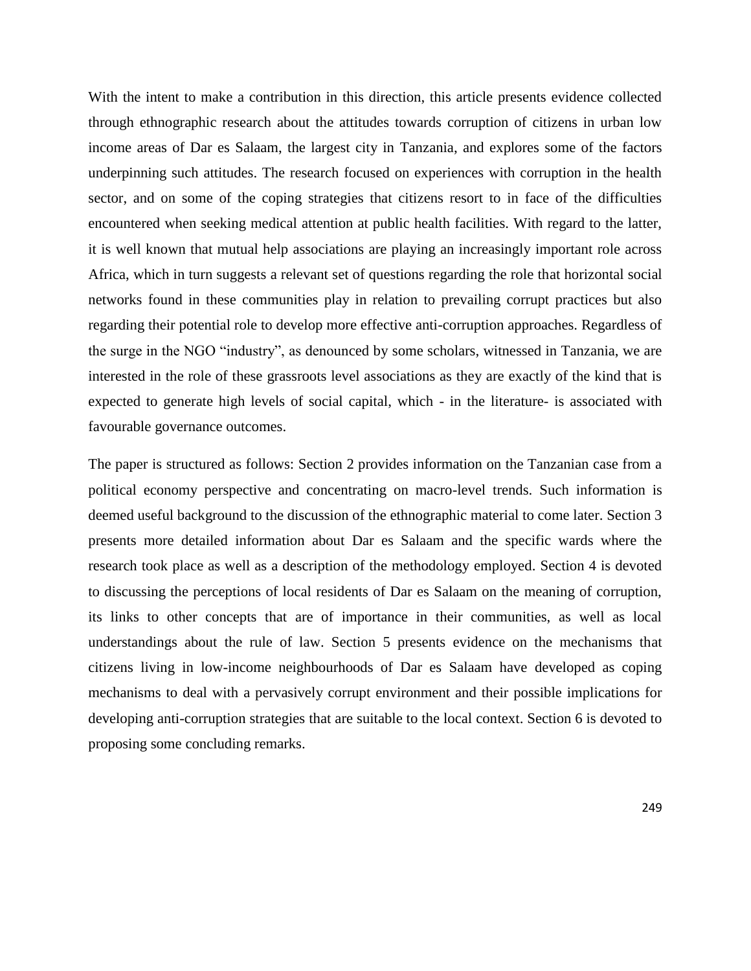With the intent to make a contribution in this direction, this article presents evidence collected through ethnographic research about the attitudes towards corruption of citizens in urban low income areas of Dar es Salaam, the largest city in Tanzania, and explores some of the factors underpinning such attitudes. The research focused on experiences with corruption in the health sector, and on some of the coping strategies that citizens resort to in face of the difficulties encountered when seeking medical attention at public health facilities. With regard to the latter, it is well known that mutual help associations are playing an increasingly important role across Africa, which in turn suggests a relevant set of questions regarding the role that horizontal social networks found in these communities play in relation to prevailing corrupt practices but also regarding their potential role to develop more effective anti-corruption approaches. Regardless of the surge in the NGO "industry", as denounced by some scholars, witnessed in Tanzania, we are interested in the role of these grassroots level associations as they are exactly of the kind that is expected to generate high levels of social capital, which - in the literature- is associated with favourable governance outcomes.

The paper is structured as follows: Section 2 provides information on the Tanzanian case from a political economy perspective and concentrating on macro-level trends. Such information is deemed useful background to the discussion of the ethnographic material to come later. Section 3 presents more detailed information about Dar es Salaam and the specific wards where the research took place as well as a description of the methodology employed. Section 4 is devoted to discussing the perceptions of local residents of Dar es Salaam on the meaning of corruption, its links to other concepts that are of importance in their communities, as well as local understandings about the rule of law. Section 5 presents evidence on the mechanisms that citizens living in low-income neighbourhoods of Dar es Salaam have developed as coping mechanisms to deal with a pervasively corrupt environment and their possible implications for developing anti-corruption strategies that are suitable to the local context. Section 6 is devoted to proposing some concluding remarks.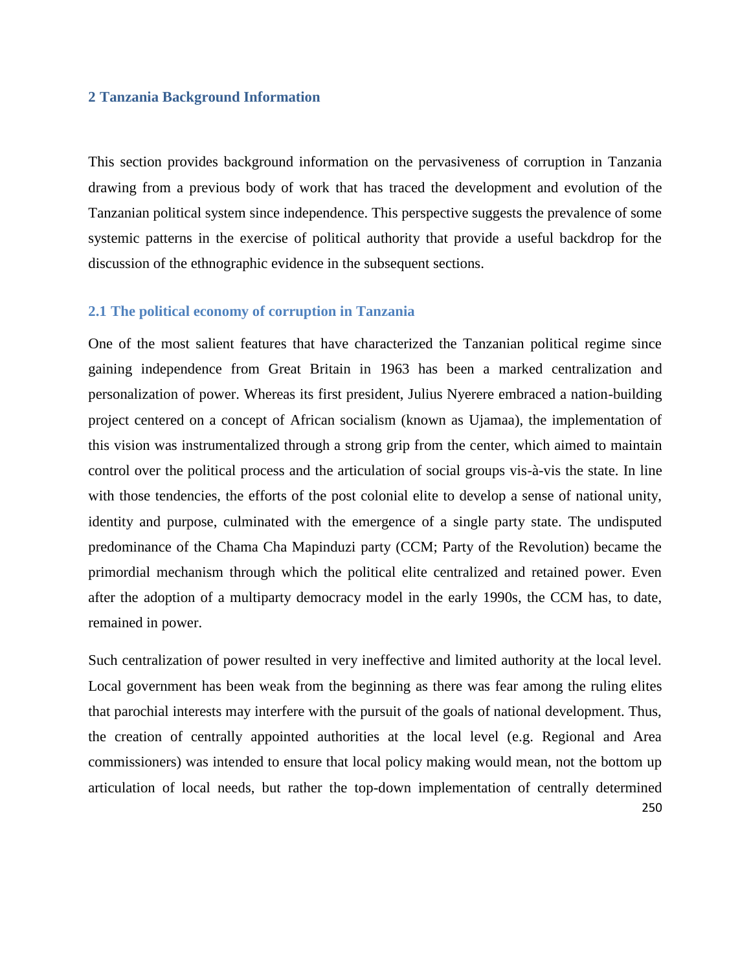#### **2 Tanzania Background Information**

This section provides background information on the pervasiveness of corruption in Tanzania drawing from a previous body of work that has traced the development and evolution of the Tanzanian political system since independence. This perspective suggests the prevalence of some systemic patterns in the exercise of political authority that provide a useful backdrop for the discussion of the ethnographic evidence in the subsequent sections.

#### **2.1 The political economy of corruption in Tanzania**

One of the most salient features that have characterized the Tanzanian political regime since gaining independence from Great Britain in 1963 has been a marked centralization and personalization of power. Whereas its first president, Julius Nyerere embraced a nation-building project centered on a concept of African socialism (known as Ujamaa), the implementation of this vision was instrumentalized through a strong grip from the center, which aimed to maintain control over the political process and the articulation of social groups vis-à-vis the state. In line with those tendencies, the efforts of the post colonial elite to develop a sense of national unity, identity and purpose, culminated with the emergence of a single party state. The undisputed predominance of the Chama Cha Mapinduzi party (CCM; Party of the Revolution) became the primordial mechanism through which the political elite centralized and retained power. Even after the adoption of a multiparty democracy model in the early 1990s, the CCM has, to date, remained in power.

250 Such centralization of power resulted in very ineffective and limited authority at the local level. Local government has been weak from the beginning as there was fear among the ruling elites that parochial interests may interfere with the pursuit of the goals of national development. Thus, the creation of centrally appointed authorities at the local level (e.g. Regional and Area commissioners) was intended to ensure that local policy making would mean, not the bottom up articulation of local needs, but rather the top-down implementation of centrally determined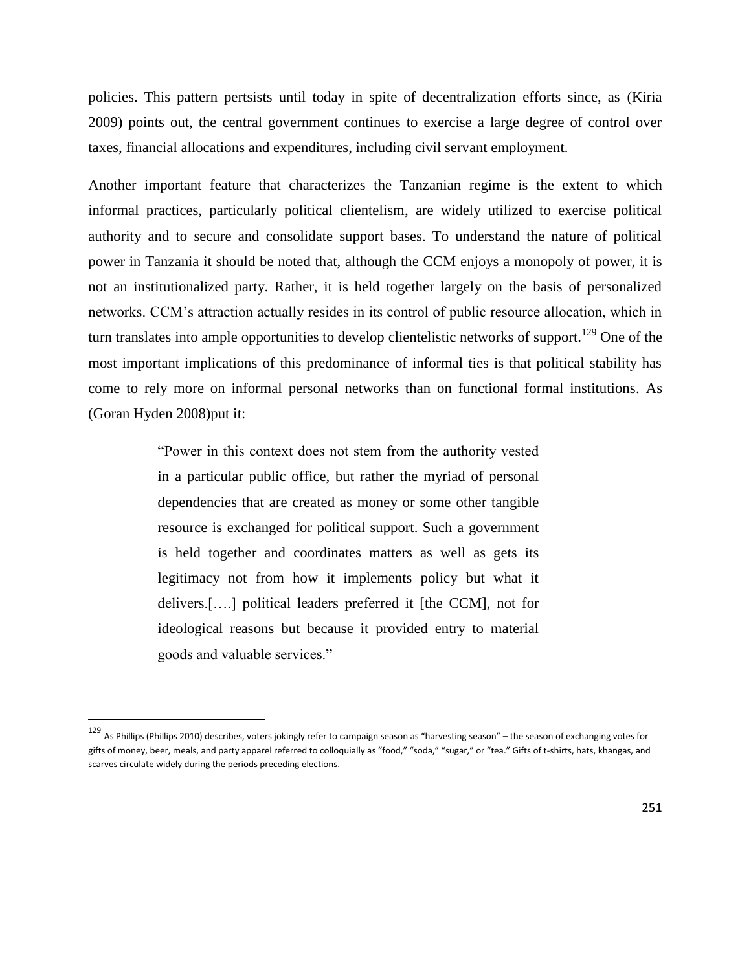policies. This pattern pertsists until today in spite of decentralization efforts since, as (Kiria 2009) points out, the central government continues to exercise a large degree of control over taxes, financial allocations and expenditures, including civil servant employment.

Another important feature that characterizes the Tanzanian regime is the extent to which informal practices, particularly political clientelism, are widely utilized to exercise political authority and to secure and consolidate support bases. To understand the nature of political power in Tanzania it should be noted that, although the CCM enjoys a monopoly of power, it is not an institutionalized party. Rather, it is held together largely on the basis of personalized networks. CCM's attraction actually resides in its control of public resource allocation, which in turn translates into ample opportunities to develop clientelistic networks of support.<sup>129</sup> One of the most important implications of this predominance of informal ties is that political stability has come to rely more on informal personal networks than on functional formal institutions. As (Goran Hyden 2008)put it:

> "Power in this context does not stem from the authority vested in a particular public office, but rather the myriad of personal dependencies that are created as money or some other tangible resource is exchanged for political support. Such a government is held together and coordinates matters as well as gets its legitimacy not from how it implements policy but what it delivers.[….] political leaders preferred it [the CCM], not for ideological reasons but because it provided entry to material goods and valuable services."

 $\overline{a}$ 

<sup>129</sup> As Phillips (Phillips 2010) describes, voters jokingly refer to campaign season as "harvesting season" – the season of exchanging votes for gifts of money, beer, meals, and party apparel referred to colloquially as "food," "soda," "sugar," or "tea." Gifts of t-shirts, hats, khangas, and scarves circulate widely during the periods preceding elections.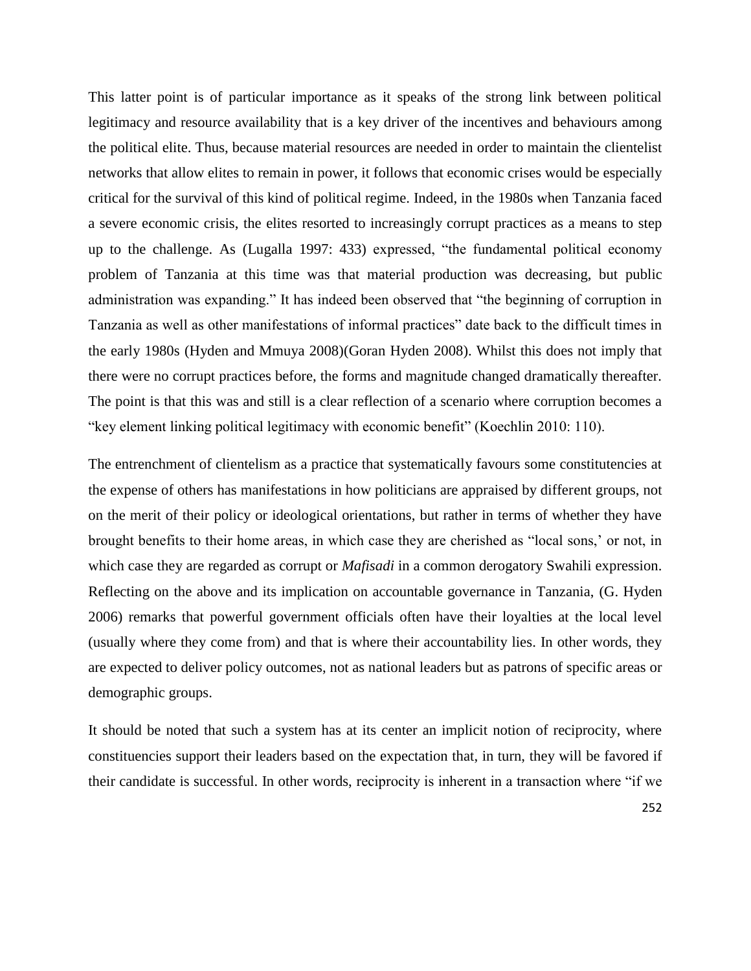This latter point is of particular importance as it speaks of the strong link between political legitimacy and resource availability that is a key driver of the incentives and behaviours among the political elite. Thus, because material resources are needed in order to maintain the clientelist networks that allow elites to remain in power, it follows that economic crises would be especially critical for the survival of this kind of political regime. Indeed, in the 1980s when Tanzania faced a severe economic crisis, the elites resorted to increasingly corrupt practices as a means to step up to the challenge. As (Lugalla 1997: 433) expressed, "the fundamental political economy problem of Tanzania at this time was that material production was decreasing, but public administration was expanding." It has indeed been observed that "the beginning of corruption in Tanzania as well as other manifestations of informal practices" date back to the difficult times in the early 1980s (Hyden and Mmuya 2008)(Goran Hyden 2008). Whilst this does not imply that there were no corrupt practices before, the forms and magnitude changed dramatically thereafter. The point is that this was and still is a clear reflection of a scenario where corruption becomes a "key element linking political legitimacy with economic benefit" (Koechlin 2010: 110).

The entrenchment of clientelism as a practice that systematically favours some constitutencies at the expense of others has manifestations in how politicians are appraised by different groups, not on the merit of their policy or ideological orientations, but rather in terms of whether they have brought benefits to their home areas, in which case they are cherished as "local sons,' or not, in which case they are regarded as corrupt or *Mafisadi* in a common derogatory Swahili expression. Reflecting on the above and its implication on accountable governance in Tanzania, (G. Hyden 2006) remarks that powerful government officials often have their loyalties at the local level (usually where they come from) and that is where their accountability lies. In other words, they are expected to deliver policy outcomes, not as national leaders but as patrons of specific areas or demographic groups.

It should be noted that such a system has at its center an implicit notion of reciprocity, where constituencies support their leaders based on the expectation that, in turn, they will be favored if their candidate is successful. In other words, reciprocity is inherent in a transaction where "if we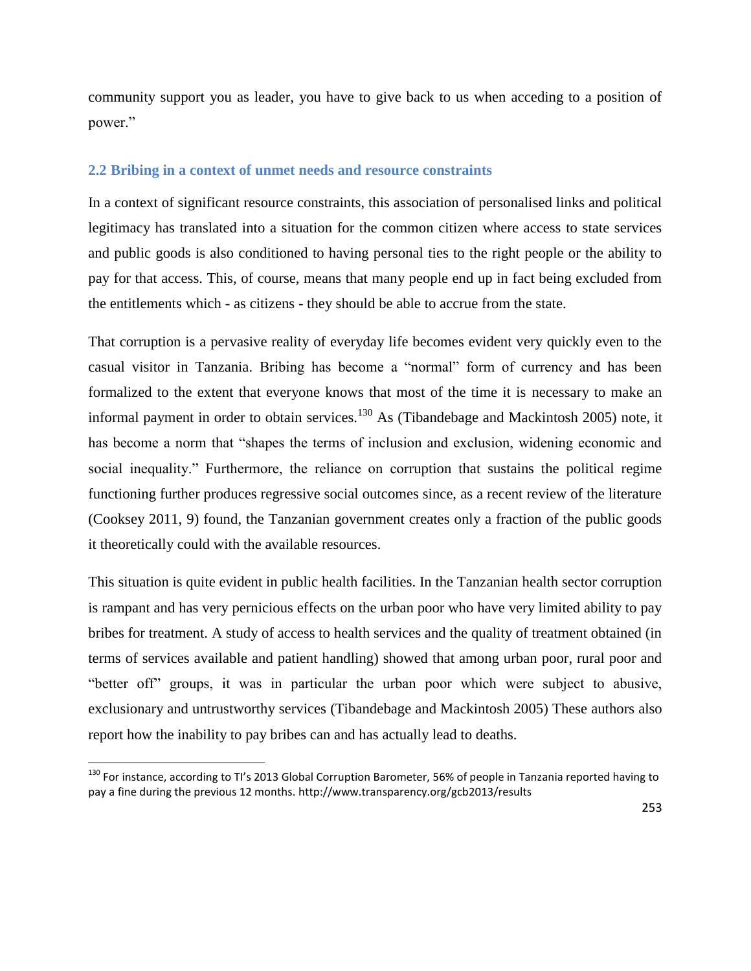community support you as leader, you have to give back to us when acceding to a position of power."

## **2.2 Bribing in a context of unmet needs and resource constraints**

In a context of significant resource constraints, this association of personalised links and political legitimacy has translated into a situation for the common citizen where access to state services and public goods is also conditioned to having personal ties to the right people or the ability to pay for that access. This, of course, means that many people end up in fact being excluded from the entitlements which - as citizens - they should be able to accrue from the state.

That corruption is a pervasive reality of everyday life becomes evident very quickly even to the casual visitor in Tanzania. Bribing has become a "normal" form of currency and has been formalized to the extent that everyone knows that most of the time it is necessary to make an informal payment in order to obtain services.<sup>130</sup> As (Tibandebage and Mackintosh 2005) note, it has become a norm that "shapes the terms of inclusion and exclusion, widening economic and social inequality." Furthermore, the reliance on corruption that sustains the political regime functioning further produces regressive social outcomes since, as a recent review of the literature (Cooksey 2011, 9) found, the Tanzanian government creates only a fraction of the public goods it theoretically could with the available resources.

This situation is quite evident in public health facilities. In the Tanzanian health sector corruption is rampant and has very pernicious effects on the urban poor who have very limited ability to pay bribes for treatment. A study of access to health services and the quality of treatment obtained (in terms of services available and patient handling) showed that among urban poor, rural poor and "better off" groups, it was in particular the urban poor which were subject to abusive, exclusionary and untrustworthy services (Tibandebage and Mackintosh 2005) These authors also report how the inability to pay bribes can and has actually lead to deaths.

 $\overline{\phantom{a}}$ 

<sup>&</sup>lt;sup>130</sup> For instance, according to TI's 2013 Global Corruption Barometer, 56% of people in Tanzania reported having to pay a fine during the previous 12 months. http://www.transparency.org/gcb2013/results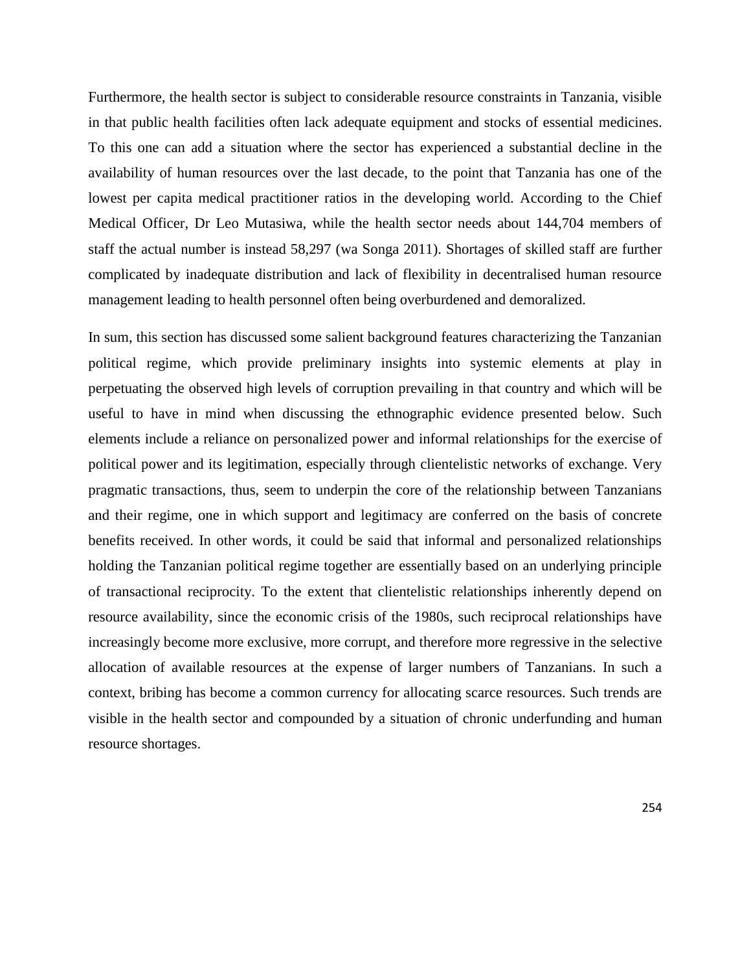Furthermore, the health sector is subject to considerable resource constraints in Tanzania, visible in that public health facilities often lack adequate equipment and stocks of essential medicines. To this one can add a situation where the sector has experienced a substantial decline in the availability of human resources over the last decade, to the point that Tanzania has one of the lowest per capita medical practitioner ratios in the developing world. According to the Chief Medical Officer, Dr Leo Mutasiwa, while the health sector needs about 144,704 members of staff the actual number is instead 58,297 (wa Songa 2011). Shortages of skilled staff are further complicated by inadequate distribution and lack of flexibility in decentralised human resource management leading to health personnel often being overburdened and demoralized.

In sum, this section has discussed some salient background features characterizing the Tanzanian political regime, which provide preliminary insights into systemic elements at play in perpetuating the observed high levels of corruption prevailing in that country and which will be useful to have in mind when discussing the ethnographic evidence presented below. Such elements include a reliance on personalized power and informal relationships for the exercise of political power and its legitimation, especially through clientelistic networks of exchange. Very pragmatic transactions, thus, seem to underpin the core of the relationship between Tanzanians and their regime, one in which support and legitimacy are conferred on the basis of concrete benefits received. In other words, it could be said that informal and personalized relationships holding the Tanzanian political regime together are essentially based on an underlying principle of transactional reciprocity. To the extent that clientelistic relationships inherently depend on resource availability, since the economic crisis of the 1980s, such reciprocal relationships have increasingly become more exclusive, more corrupt, and therefore more regressive in the selective allocation of available resources at the expense of larger numbers of Tanzanians. In such a context, bribing has become a common currency for allocating scarce resources. Such trends are visible in the health sector and compounded by a situation of chronic underfunding and human resource shortages.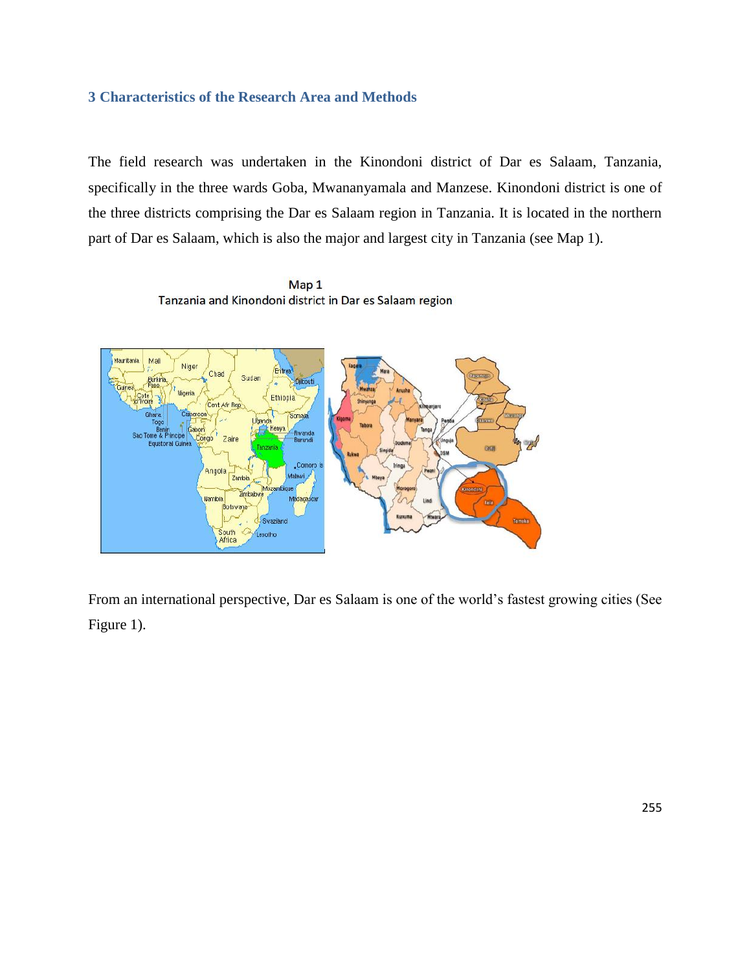# **3 Characteristics of the Research Area and Methods**

The field research was undertaken in the Kinondoni district of Dar es Salaam, Tanzania, specifically in the three wards Goba, Mwananyamala and Manzese. Kinondoni district is one of the three districts comprising the Dar es Salaam region in Tanzania. It is located in the northern part of Dar es Salaam, which is also the major and largest city in Tanzania (see Map 1).





From an international perspective, Dar es Salaam is one of the world's fastest growing cities (See Figure 1).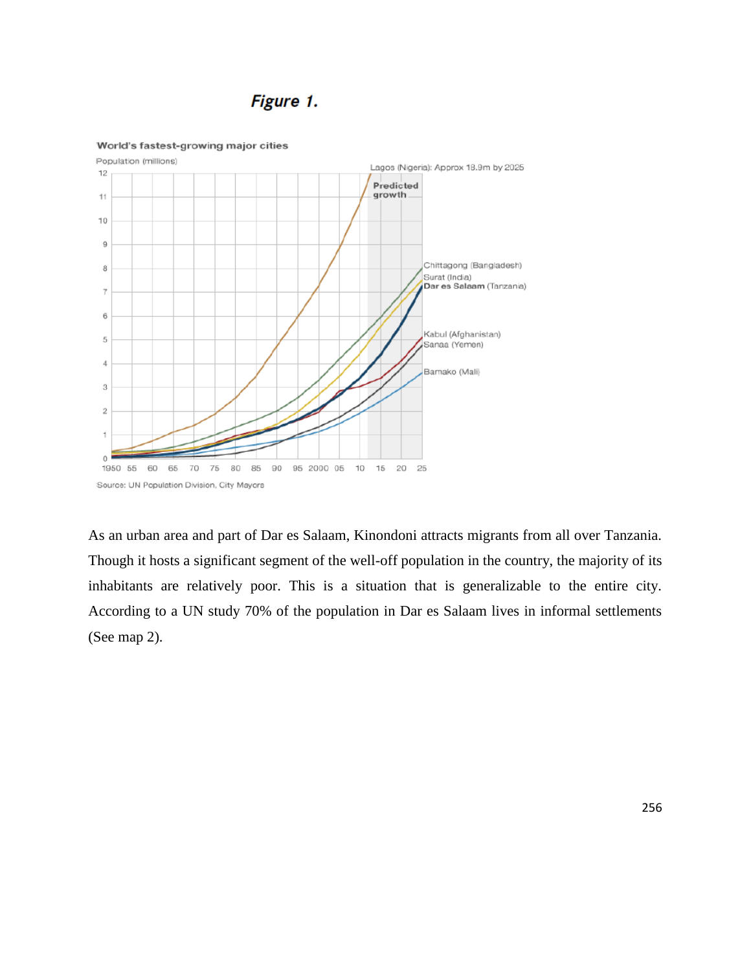# Figure 1.





As an urban area and part of Dar es Salaam, Kinondoni attracts migrants from all over Tanzania. Though it hosts a significant segment of the well-off population in the country, the majority of its inhabitants are relatively poor. This is a situation that is generalizable to the entire city. According to a UN study 70% of the population in Dar es Salaam lives in informal settlements (See map 2).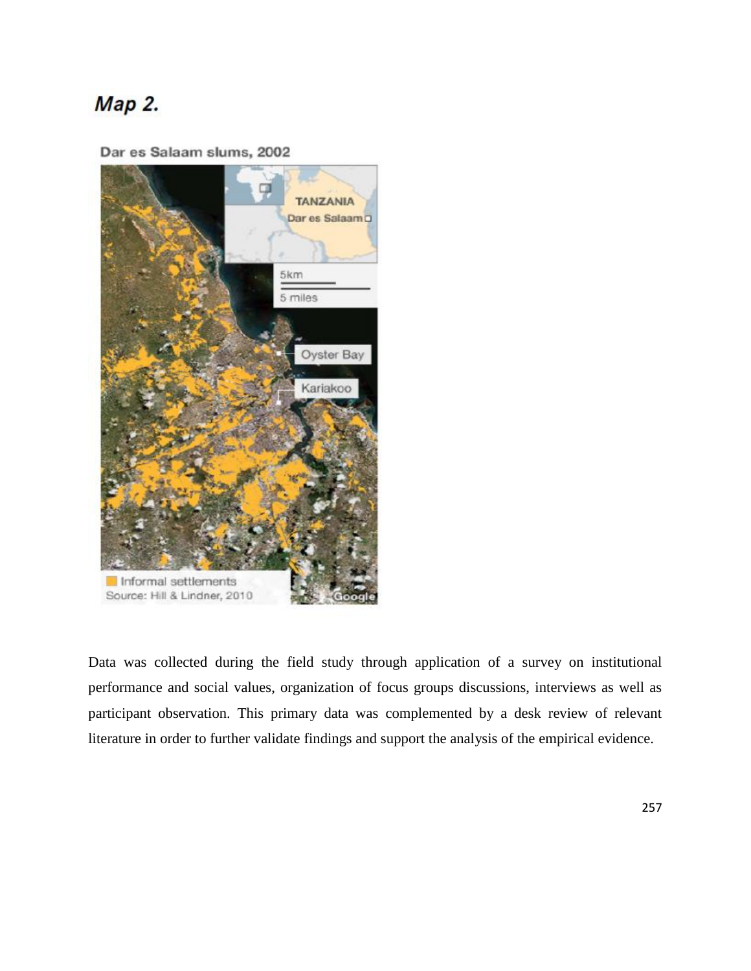# Map 2.

#### Dar es Salaam slums, 2002



Data was collected during the field study through application of a survey on institutional performance and social values, organization of focus groups discussions, interviews as well as participant observation. This primary data was complemented by a desk review of relevant literature in order to further validate findings and support the analysis of the empirical evidence.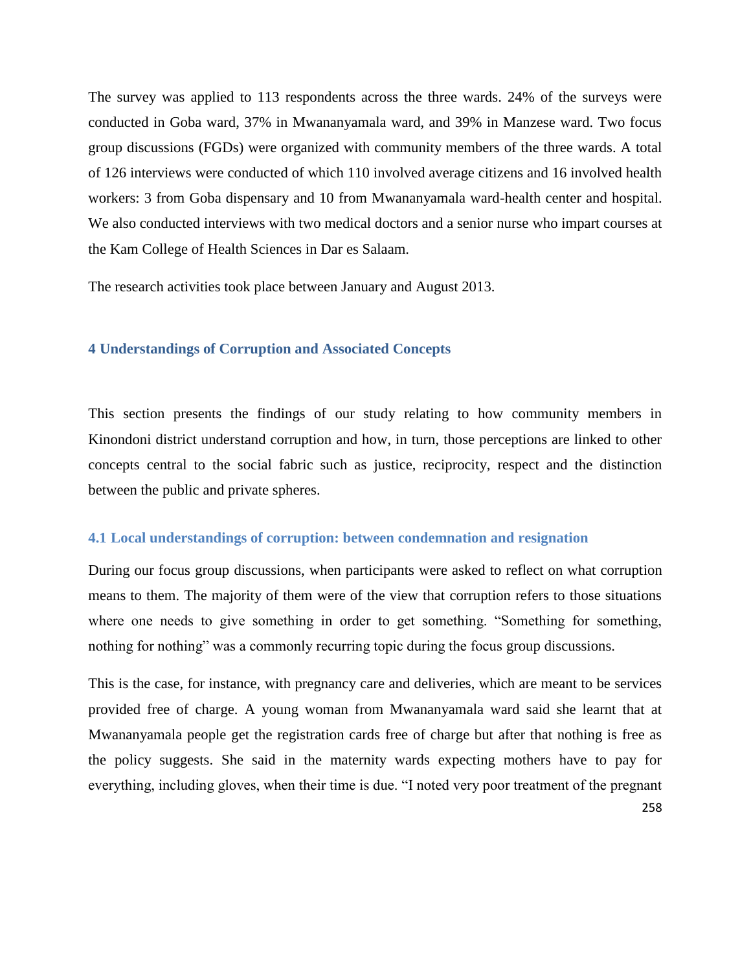The survey was applied to 113 respondents across the three wards. 24% of the surveys were conducted in Goba ward, 37% in Mwananyamala ward, and 39% in Manzese ward. Two focus group discussions (FGDs) were organized with community members of the three wards. A total of 126 interviews were conducted of which 110 involved average citizens and 16 involved health workers: 3 from Goba dispensary and 10 from Mwananyamala ward-health center and hospital. We also conducted interviews with two medical doctors and a senior nurse who impart courses at the Kam College of Health Sciences in Dar es Salaam.

The research activities took place between January and August 2013.

#### **4 Understandings of Corruption and Associated Concepts**

This section presents the findings of our study relating to how community members in Kinondoni district understand corruption and how, in turn, those perceptions are linked to other concepts central to the social fabric such as justice, reciprocity, respect and the distinction between the public and private spheres.

#### **4.1 Local understandings of corruption: between condemnation and resignation**

During our focus group discussions, when participants were asked to reflect on what corruption means to them. The majority of them were of the view that corruption refers to those situations where one needs to give something in order to get something. "Something for something, nothing for nothing" was a commonly recurring topic during the focus group discussions.

258 This is the case, for instance, with pregnancy care and deliveries, which are meant to be services provided free of charge. A young woman from Mwananyamala ward said she learnt that at Mwananyamala people get the registration cards free of charge but after that nothing is free as the policy suggests. She said in the maternity wards expecting mothers have to pay for everything, including gloves, when their time is due. "I noted very poor treatment of the pregnant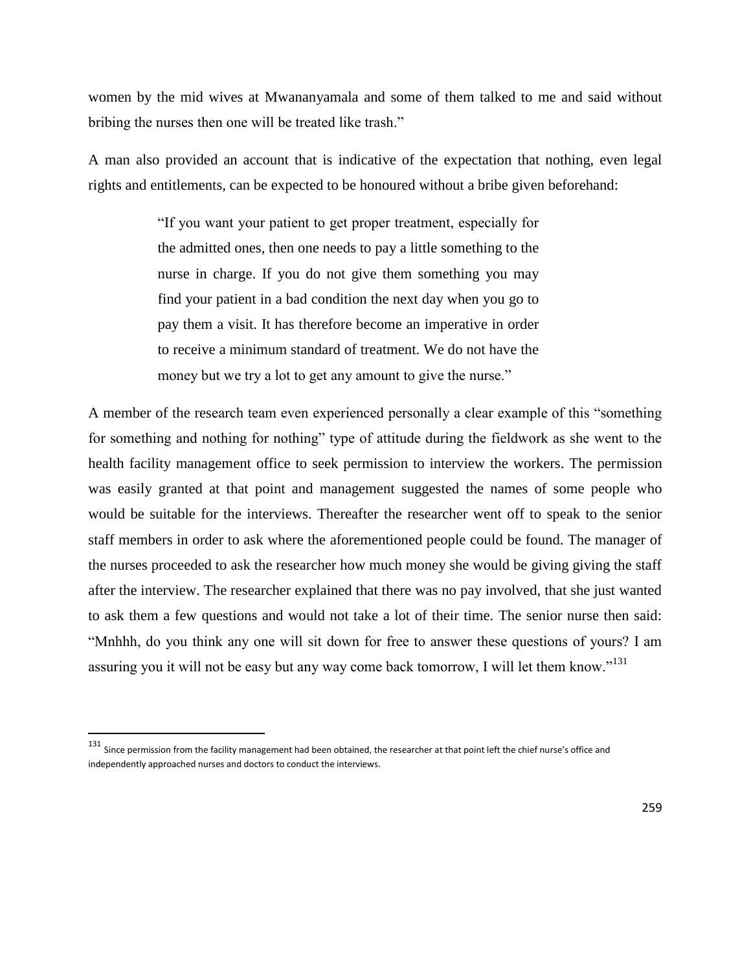women by the mid wives at Mwananyamala and some of them talked to me and said without bribing the nurses then one will be treated like trash."

A man also provided an account that is indicative of the expectation that nothing, even legal rights and entitlements, can be expected to be honoured without a bribe given beforehand:

> "If you want your patient to get proper treatment, especially for the admitted ones, then one needs to pay a little something to the nurse in charge. If you do not give them something you may find your patient in a bad condition the next day when you go to pay them a visit. It has therefore become an imperative in order to receive a minimum standard of treatment. We do not have the money but we try a lot to get any amount to give the nurse."

A member of the research team even experienced personally a clear example of this "something for something and nothing for nothing" type of attitude during the fieldwork as she went to the health facility management office to seek permission to interview the workers. The permission was easily granted at that point and management suggested the names of some people who would be suitable for the interviews. Thereafter the researcher went off to speak to the senior staff members in order to ask where the aforementioned people could be found. The manager of the nurses proceeded to ask the researcher how much money she would be giving giving the staff after the interview. The researcher explained that there was no pay involved, that she just wanted to ask them a few questions and would not take a lot of their time. The senior nurse then said: "Mnhhh, do you think any one will sit down for free to answer these questions of yours? I am assuring you it will not be easy but any way come back tomorrow, I will let them know."<sup>131</sup>

 $\overline{\phantom{a}}$ 

<sup>131</sup> Since permission from the facility management had been obtained, the researcher at that point left the chief nurse's office and independently approached nurses and doctors to conduct the interviews.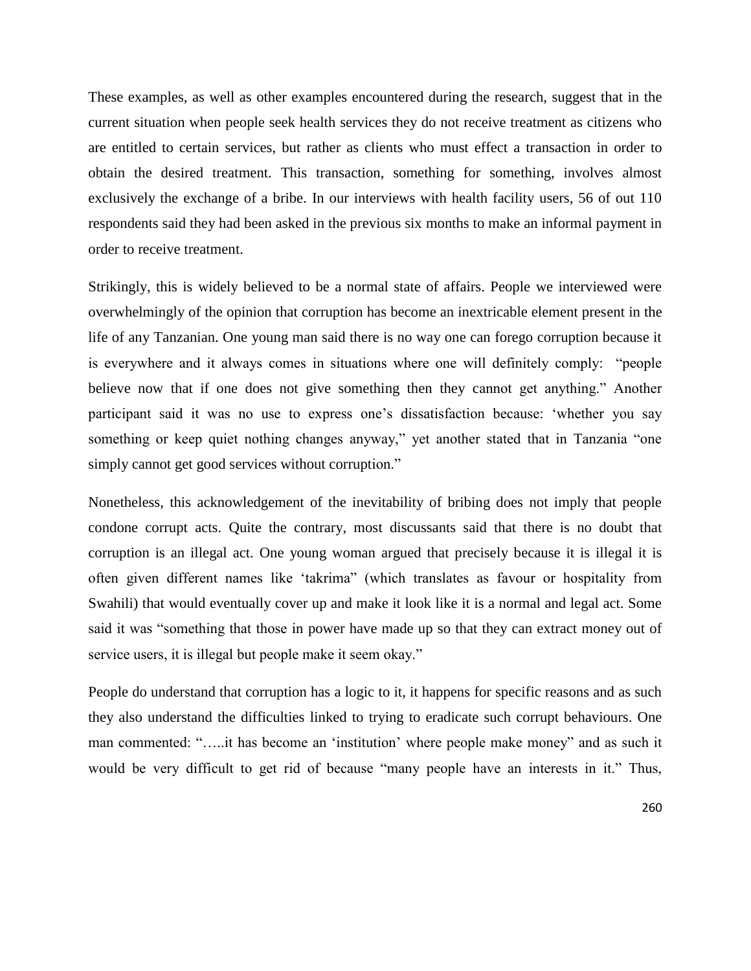These examples, as well as other examples encountered during the research, suggest that in the current situation when people seek health services they do not receive treatment as citizens who are entitled to certain services, but rather as clients who must effect a transaction in order to obtain the desired treatment. This transaction, something for something, involves almost exclusively the exchange of a bribe. In our interviews with health facility users, 56 of out 110 respondents said they had been asked in the previous six months to make an informal payment in order to receive treatment.

Strikingly, this is widely believed to be a normal state of affairs. People we interviewed were overwhelmingly of the opinion that corruption has become an inextricable element present in the life of any Tanzanian. One young man said there is no way one can forego corruption because it is everywhere and it always comes in situations where one will definitely comply: "people believe now that if one does not give something then they cannot get anything." Another participant said it was no use to express one's dissatisfaction because: 'whether you say something or keep quiet nothing changes anyway," yet another stated that in Tanzania "one" simply cannot get good services without corruption."

Nonetheless, this acknowledgement of the inevitability of bribing does not imply that people condone corrupt acts. Quite the contrary, most discussants said that there is no doubt that corruption is an illegal act. One young woman argued that precisely because it is illegal it is often given different names like 'takrima" (which translates as favour or hospitality from Swahili) that would eventually cover up and make it look like it is a normal and legal act. Some said it was "something that those in power have made up so that they can extract money out of service users, it is illegal but people make it seem okay."

People do understand that corruption has a logic to it, it happens for specific reasons and as such they also understand the difficulties linked to trying to eradicate such corrupt behaviours. One man commented: "…..it has become an 'institution' where people make money" and as such it would be very difficult to get rid of because "many people have an interests in it." Thus,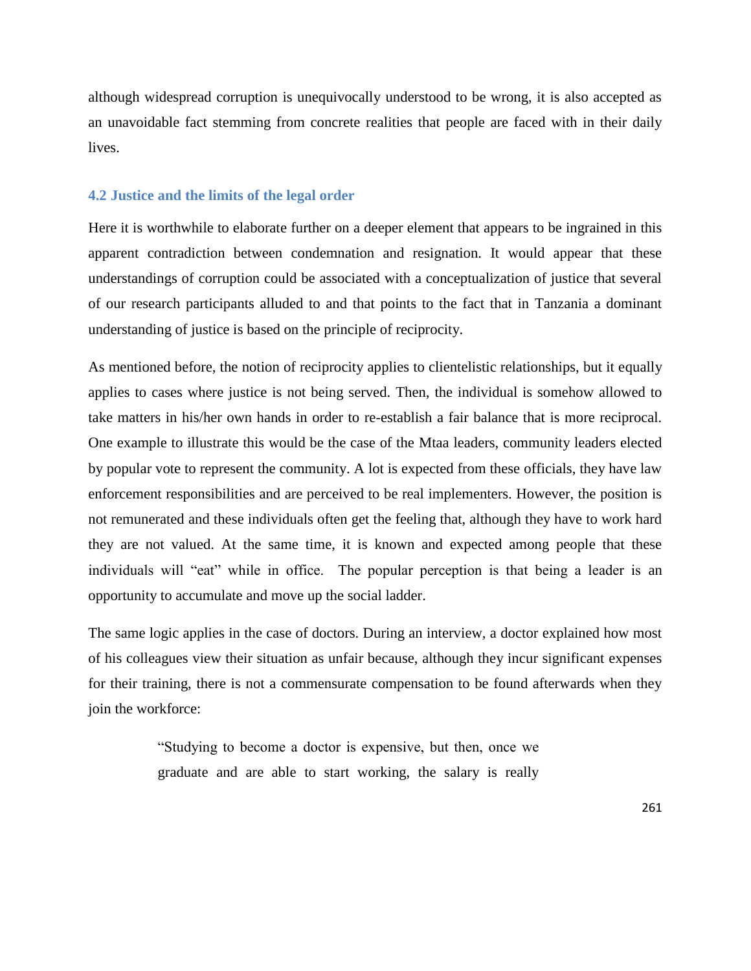although widespread corruption is unequivocally understood to be wrong, it is also accepted as an unavoidable fact stemming from concrete realities that people are faced with in their daily lives.

#### **4.2 Justice and the limits of the legal order**

Here it is worthwhile to elaborate further on a deeper element that appears to be ingrained in this apparent contradiction between condemnation and resignation. It would appear that these understandings of corruption could be associated with a conceptualization of justice that several of our research participants alluded to and that points to the fact that in Tanzania a dominant understanding of justice is based on the principle of reciprocity.

As mentioned before, the notion of reciprocity applies to clientelistic relationships, but it equally applies to cases where justice is not being served. Then, the individual is somehow allowed to take matters in his/her own hands in order to re-establish a fair balance that is more reciprocal. One example to illustrate this would be the case of the Mtaa leaders, community leaders elected by popular vote to represent the community. A lot is expected from these officials, they have law enforcement responsibilities and are perceived to be real implementers. However, the position is not remunerated and these individuals often get the feeling that, although they have to work hard they are not valued. At the same time, it is known and expected among people that these individuals will "eat" while in office. The popular perception is that being a leader is an opportunity to accumulate and move up the social ladder.

The same logic applies in the case of doctors. During an interview, a doctor explained how most of his colleagues view their situation as unfair because, although they incur significant expenses for their training, there is not a commensurate compensation to be found afterwards when they join the workforce:

> "Studying to become a doctor is expensive, but then, once we graduate and are able to start working, the salary is really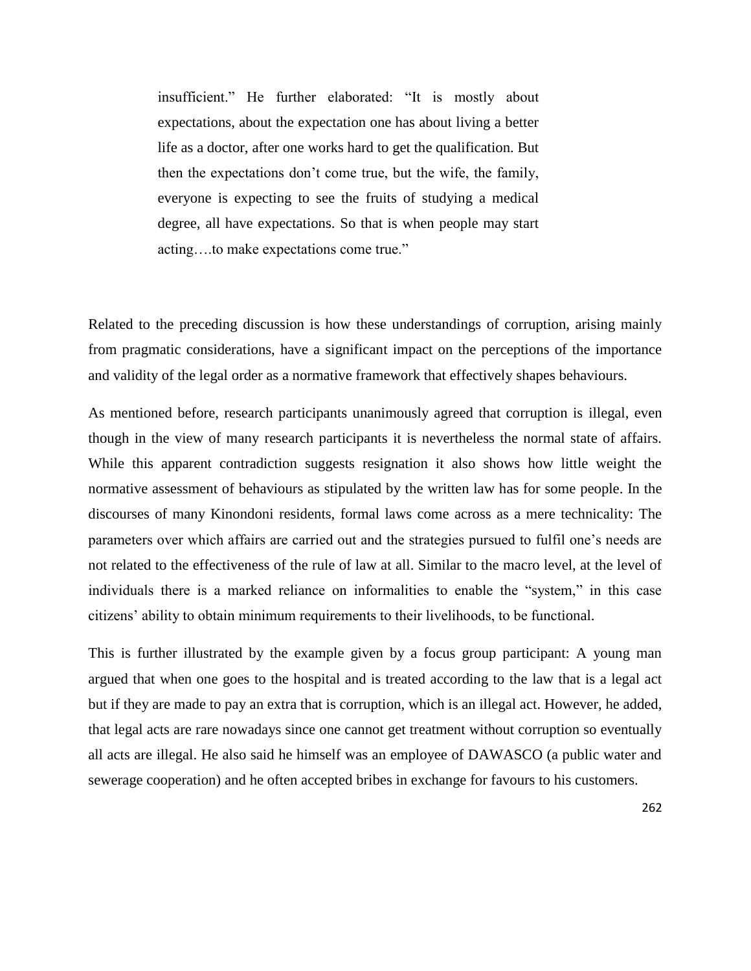insufficient." He further elaborated: "It is mostly about expectations, about the expectation one has about living a better life as a doctor, after one works hard to get the qualification. But then the expectations don't come true, but the wife, the family, everyone is expecting to see the fruits of studying a medical degree, all have expectations. So that is when people may start acting….to make expectations come true."

Related to the preceding discussion is how these understandings of corruption, arising mainly from pragmatic considerations, have a significant impact on the perceptions of the importance and validity of the legal order as a normative framework that effectively shapes behaviours.

As mentioned before, research participants unanimously agreed that corruption is illegal, even though in the view of many research participants it is nevertheless the normal state of affairs. While this apparent contradiction suggests resignation it also shows how little weight the normative assessment of behaviours as stipulated by the written law has for some people. In the discourses of many Kinondoni residents, formal laws come across as a mere technicality: The parameters over which affairs are carried out and the strategies pursued to fulfil one's needs are not related to the effectiveness of the rule of law at all. Similar to the macro level, at the level of individuals there is a marked reliance on informalities to enable the "system," in this case citizens' ability to obtain minimum requirements to their livelihoods, to be functional.

This is further illustrated by the example given by a focus group participant: A young man argued that when one goes to the hospital and is treated according to the law that is a legal act but if they are made to pay an extra that is corruption, which is an illegal act. However, he added, that legal acts are rare nowadays since one cannot get treatment without corruption so eventually all acts are illegal. He also said he himself was an employee of DAWASCO (a public water and sewerage cooperation) and he often accepted bribes in exchange for favours to his customers.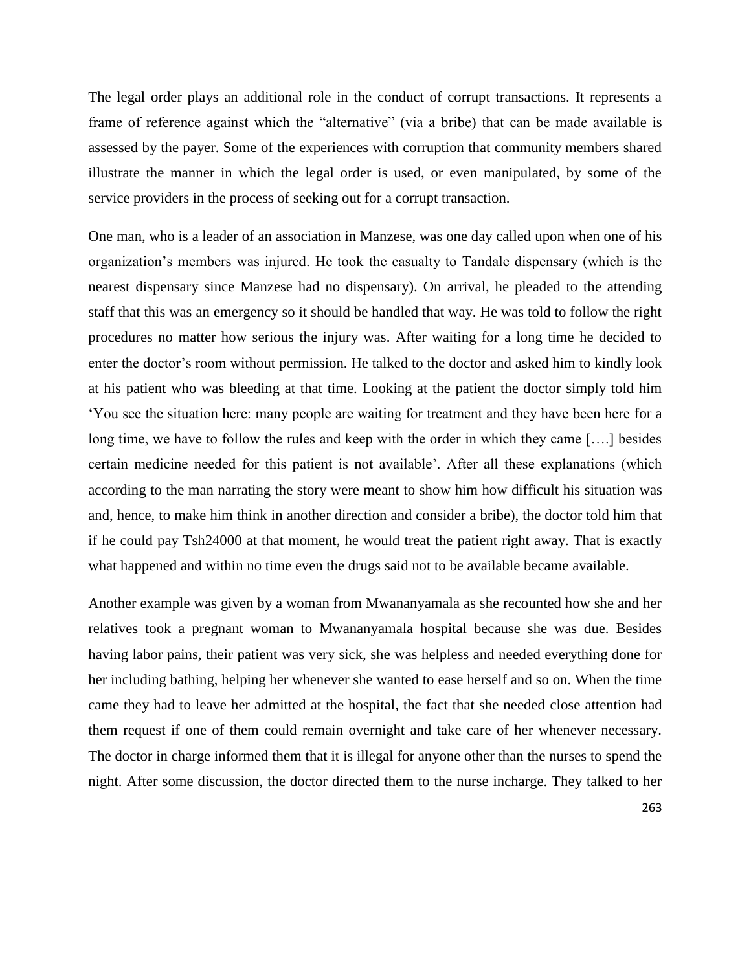The legal order plays an additional role in the conduct of corrupt transactions. It represents a frame of reference against which the "alternative" (via a bribe) that can be made available is assessed by the payer. Some of the experiences with corruption that community members shared illustrate the manner in which the legal order is used, or even manipulated, by some of the service providers in the process of seeking out for a corrupt transaction.

One man, who is a leader of an association in Manzese, was one day called upon when one of his organization's members was injured. He took the casualty to Tandale dispensary (which is the nearest dispensary since Manzese had no dispensary). On arrival, he pleaded to the attending staff that this was an emergency so it should be handled that way. He was told to follow the right procedures no matter how serious the injury was. After waiting for a long time he decided to enter the doctor's room without permission. He talked to the doctor and asked him to kindly look at his patient who was bleeding at that time. Looking at the patient the doctor simply told him 'You see the situation here: many people are waiting for treatment and they have been here for a long time, we have to follow the rules and keep with the order in which they came [….] besides certain medicine needed for this patient is not available'. After all these explanations (which according to the man narrating the story were meant to show him how difficult his situation was and, hence, to make him think in another direction and consider a bribe), the doctor told him that if he could pay Tsh24000 at that moment, he would treat the patient right away. That is exactly what happened and within no time even the drugs said not to be available became available.

Another example was given by a woman from Mwananyamala as she recounted how she and her relatives took a pregnant woman to Mwananyamala hospital because she was due. Besides having labor pains, their patient was very sick, she was helpless and needed everything done for her including bathing, helping her whenever she wanted to ease herself and so on. When the time came they had to leave her admitted at the hospital, the fact that she needed close attention had them request if one of them could remain overnight and take care of her whenever necessary. The doctor in charge informed them that it is illegal for anyone other than the nurses to spend the night. After some discussion, the doctor directed them to the nurse incharge. They talked to her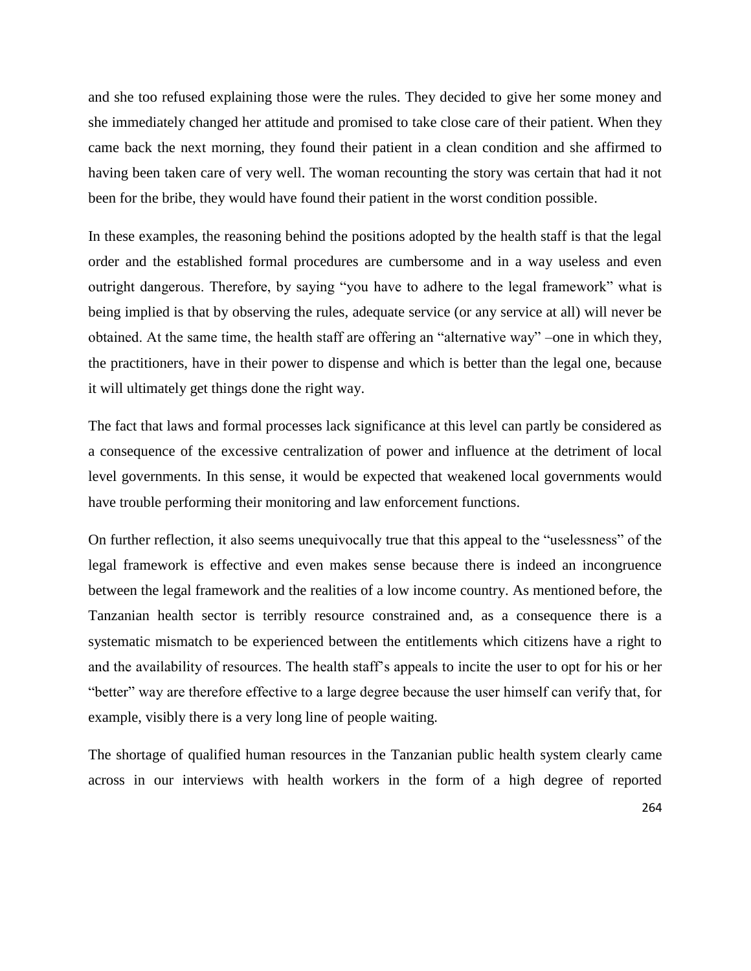and she too refused explaining those were the rules. They decided to give her some money and she immediately changed her attitude and promised to take close care of their patient. When they came back the next morning, they found their patient in a clean condition and she affirmed to having been taken care of very well. The woman recounting the story was certain that had it not been for the bribe, they would have found their patient in the worst condition possible.

In these examples, the reasoning behind the positions adopted by the health staff is that the legal order and the established formal procedures are cumbersome and in a way useless and even outright dangerous. Therefore, by saying "you have to adhere to the legal framework" what is being implied is that by observing the rules, adequate service (or any service at all) will never be obtained. At the same time, the health staff are offering an "alternative way" –one in which they, the practitioners, have in their power to dispense and which is better than the legal one, because it will ultimately get things done the right way.

The fact that laws and formal processes lack significance at this level can partly be considered as a consequence of the excessive centralization of power and influence at the detriment of local level governments. In this sense, it would be expected that weakened local governments would have trouble performing their monitoring and law enforcement functions.

On further reflection, it also seems unequivocally true that this appeal to the "uselessness" of the legal framework is effective and even makes sense because there is indeed an incongruence between the legal framework and the realities of a low income country. As mentioned before, the Tanzanian health sector is terribly resource constrained and, as a consequence there is a systematic mismatch to be experienced between the entitlements which citizens have a right to and the availability of resources. The health staff's appeals to incite the user to opt for his or her "better" way are therefore effective to a large degree because the user himself can verify that, for example, visibly there is a very long line of people waiting.

The shortage of qualified human resources in the Tanzanian public health system clearly came across in our interviews with health workers in the form of a high degree of reported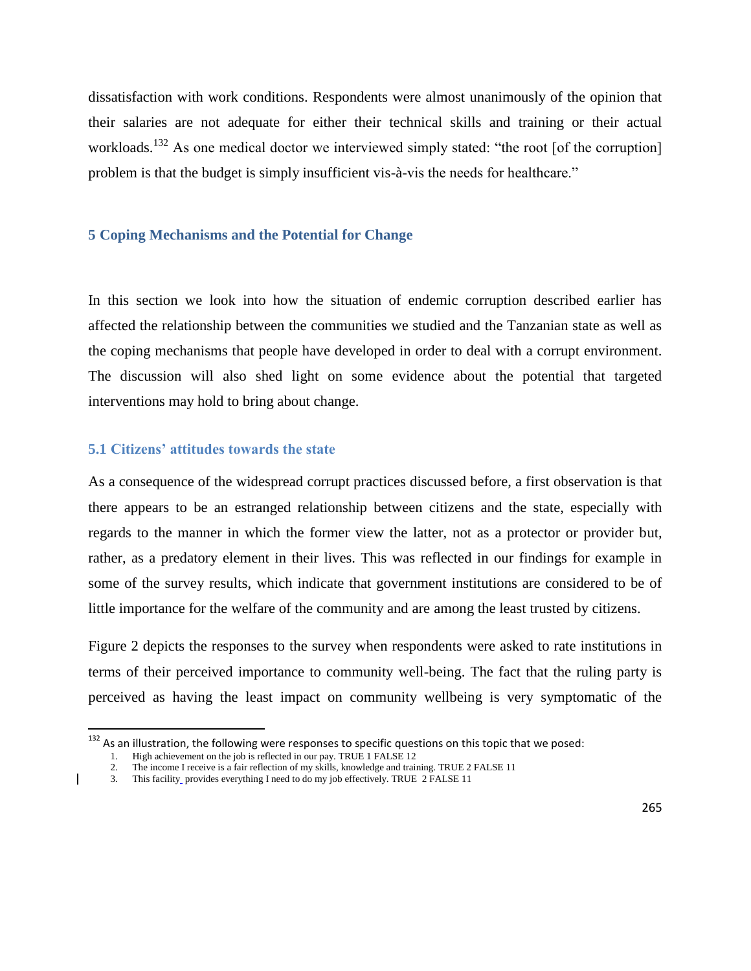dissatisfaction with work conditions. Respondents were almost unanimously of the opinion that their salaries are not adequate for either their technical skills and training or their actual workloads.<sup>132</sup> As one medical doctor we interviewed simply stated: "the root [of the corruption] problem is that the budget is simply insufficient vis-à-vis the needs for healthcare."

### **5 Coping Mechanisms and the Potential for Change**

In this section we look into how the situation of endemic corruption described earlier has affected the relationship between the communities we studied and the Tanzanian state as well as the coping mechanisms that people have developed in order to deal with a corrupt environment. The discussion will also shed light on some evidence about the potential that targeted interventions may hold to bring about change.

#### **5.1 Citizens' attitudes towards the state**

l

As a consequence of the widespread corrupt practices discussed before, a first observation is that there appears to be an estranged relationship between citizens and the state, especially with regards to the manner in which the former view the latter, not as a protector or provider but, rather, as a predatory element in their lives. This was reflected in our findings for example in some of the survey results, which indicate that government institutions are considered to be of little importance for the welfare of the community and are among the least trusted by citizens.

Figure 2 depicts the responses to the survey when respondents were asked to rate institutions in terms of their perceived importance to community well-being. The fact that the ruling party is perceived as having the least impact on community wellbeing is very symptomatic of the

 $132$  As an illustration, the following were responses to specific questions on this topic that we posed:

<sup>1.</sup> High achievement on the job is reflected in our pay. TRUE 1 FALSE 12

<sup>2.</sup> The income I receive is a fair reflection of my skills, knowledge and training. TRUE 2 FALSE 11

<sup>3.</sup> This facility\_provides everything I need to do my job effectively. TRUE 2 FALSE 11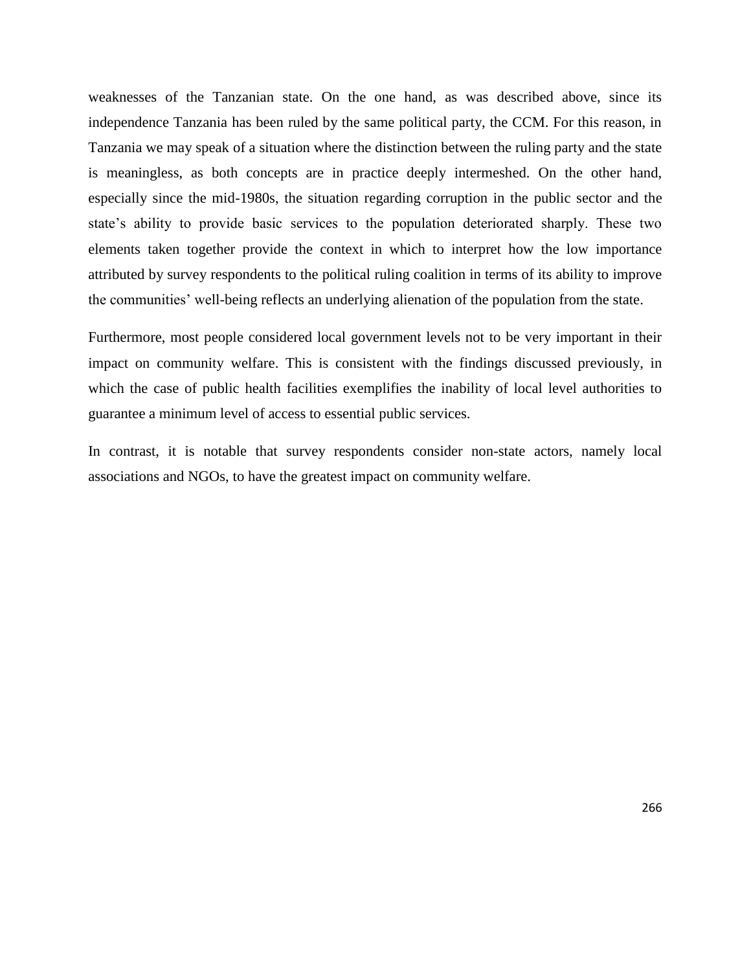weaknesses of the Tanzanian state. On the one hand, as was described above, since its independence Tanzania has been ruled by the same political party, the CCM. For this reason, in Tanzania we may speak of a situation where the distinction between the ruling party and the state is meaningless, as both concepts are in practice deeply intermeshed. On the other hand, especially since the mid-1980s, the situation regarding corruption in the public sector and the state's ability to provide basic services to the population deteriorated sharply. These two elements taken together provide the context in which to interpret how the low importance attributed by survey respondents to the political ruling coalition in terms of its ability to improve the communities' well-being reflects an underlying alienation of the population from the state.

Furthermore, most people considered local government levels not to be very important in their impact on community welfare. This is consistent with the findings discussed previously, in which the case of public health facilities exemplifies the inability of local level authorities to guarantee a minimum level of access to essential public services.

In contrast, it is notable that survey respondents consider non-state actors, namely local associations and NGOs, to have the greatest impact on community welfare.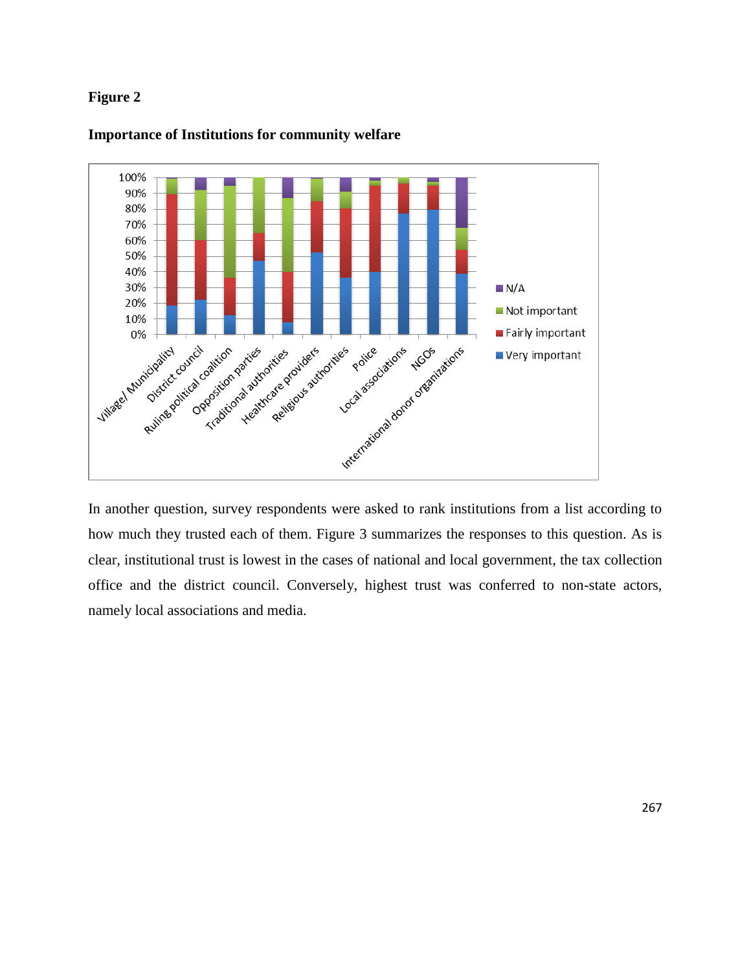## **Figure 2**



# **Importance of Institutions for community welfare**

In another question, survey respondents were asked to rank institutions from a list according to how much they trusted each of them. Figure 3 summarizes the responses to this question. As is clear, institutional trust is lowest in the cases of national and local government, the tax collection office and the district council. Conversely, highest trust was conferred to non-state actors, namely local associations and media.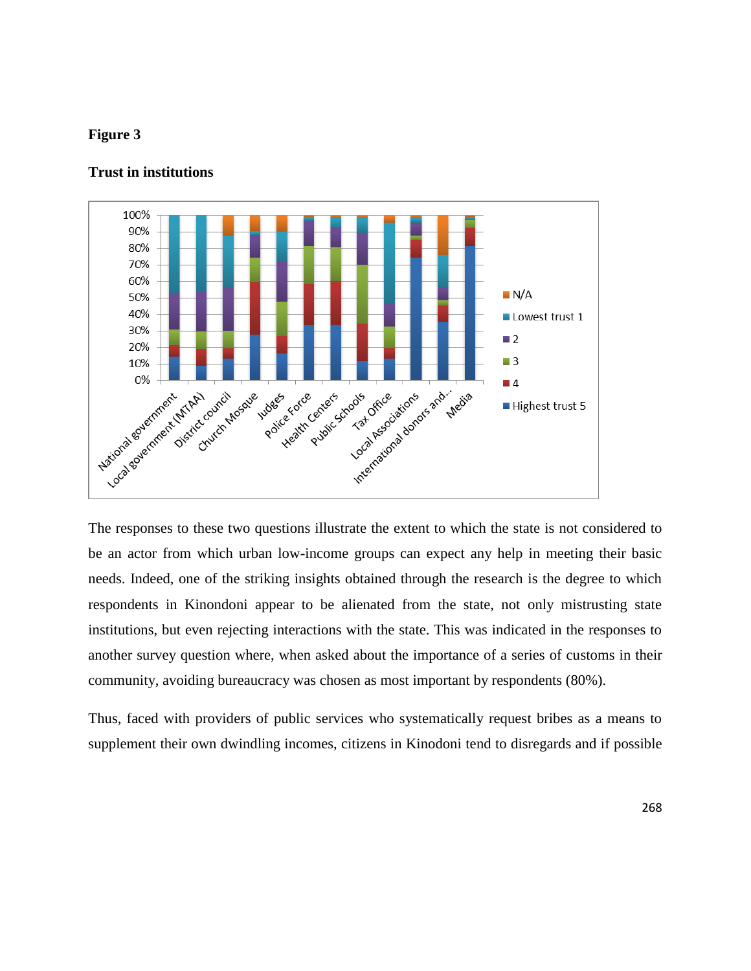# **Figure 3**

#### **Trust in institutions**



The responses to these two questions illustrate the extent to which the state is not considered to be an actor from which urban low-income groups can expect any help in meeting their basic needs. Indeed, one of the striking insights obtained through the research is the degree to which respondents in Kinondoni appear to be alienated from the state, not only mistrusting state institutions, but even rejecting interactions with the state. This was indicated in the responses to another survey question where, when asked about the importance of a series of customs in their community, avoiding bureaucracy was chosen as most important by respondents (80%).

Thus, faced with providers of public services who systematically request bribes as a means to supplement their own dwindling incomes, citizens in Kinodoni tend to disregards and if possible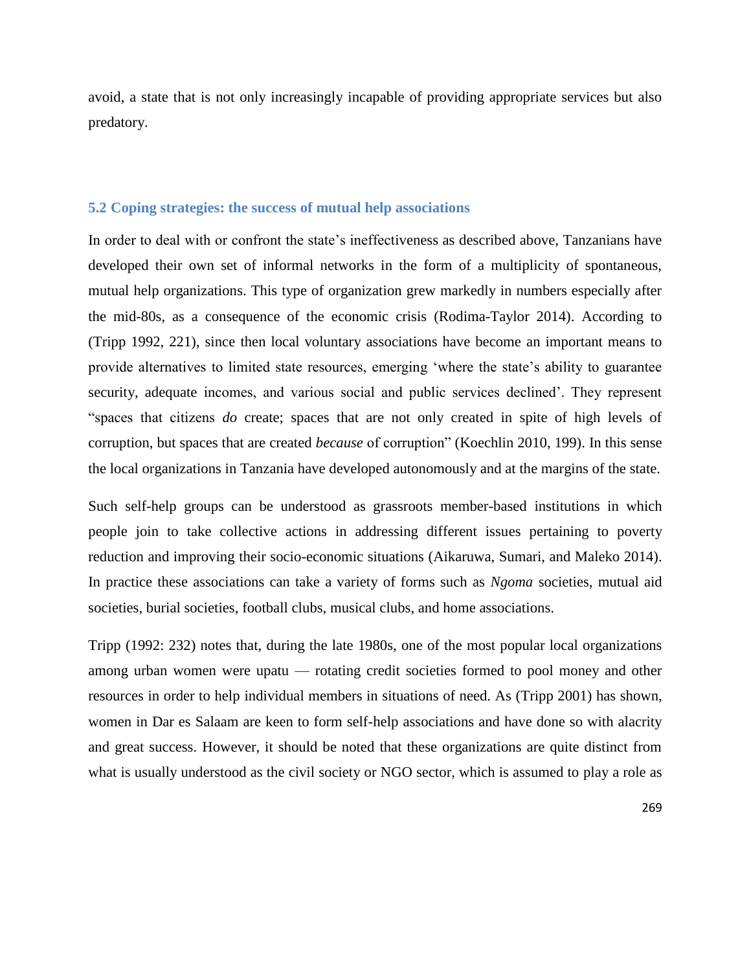avoid, a state that is not only increasingly incapable of providing appropriate services but also predatory.

#### **5.2 Coping strategies: the success of mutual help associations**

In order to deal with or confront the state's ineffectiveness as described above, Tanzanians have developed their own set of informal networks in the form of a multiplicity of spontaneous, mutual help organizations. This type of organization grew markedly in numbers especially after the mid-80s, as a consequence of the economic crisis (Rodima-Taylor 2014). According to (Tripp 1992, 221), since then local voluntary associations have become an important means to provide alternatives to limited state resources, emerging 'where the state's ability to guarantee security, adequate incomes, and various social and public services declined'. They represent "spaces that citizens *do* create; spaces that are not only created in spite of high levels of corruption, but spaces that are created *because* of corruption" (Koechlin 2010, 199). In this sense the local organizations in Tanzania have developed autonomously and at the margins of the state.

Such self-help groups can be understood as grassroots member-based institutions in which people join to take collective actions in addressing different issues pertaining to poverty reduction and improving their socio-economic situations (Aikaruwa, Sumari, and Maleko 2014). In practice these associations can take a variety of forms such as *Ngoma* societies, mutual aid societies, burial societies, football clubs, musical clubs, and home associations.

Tripp (1992: 232) notes that, during the late 1980s, one of the most popular local organizations among urban women were upatu — rotating credit societies formed to pool money and other resources in order to help individual members in situations of need. As (Tripp 2001) has shown, women in Dar es Salaam are keen to form self-help associations and have done so with alacrity and great success. However, it should be noted that these organizations are quite distinct from what is usually understood as the civil society or NGO sector, which is assumed to play a role as

269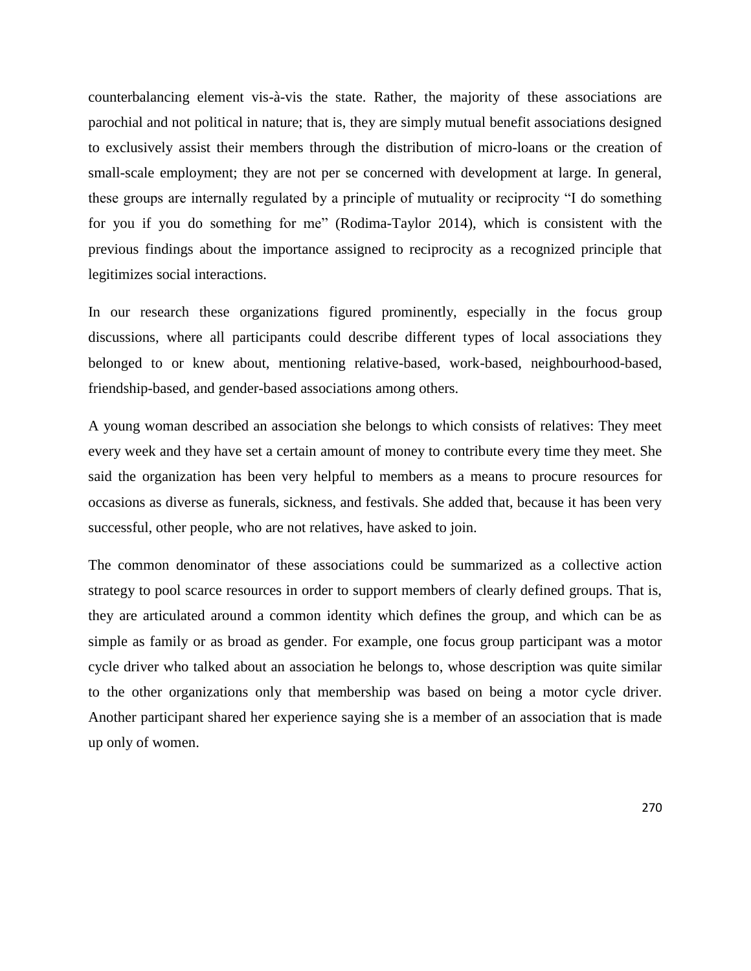counterbalancing element vis-à-vis the state. Rather, the majority of these associations are parochial and not political in nature; that is, they are simply mutual benefit associations designed to exclusively assist their members through the distribution of micro-loans or the creation of small-scale employment; they are not per se concerned with development at large. In general, these groups are internally regulated by a principle of mutuality or reciprocity "I do something for you if you do something for me" (Rodima-Taylor 2014), which is consistent with the previous findings about the importance assigned to reciprocity as a recognized principle that legitimizes social interactions.

In our research these organizations figured prominently, especially in the focus group discussions, where all participants could describe different types of local associations they belonged to or knew about, mentioning relative-based, work-based, neighbourhood-based, friendship-based, and gender-based associations among others.

A young woman described an association she belongs to which consists of relatives: They meet every week and they have set a certain amount of money to contribute every time they meet. She said the organization has been very helpful to members as a means to procure resources for occasions as diverse as funerals, sickness, and festivals. She added that, because it has been very successful, other people, who are not relatives, have asked to join.

The common denominator of these associations could be summarized as a collective action strategy to pool scarce resources in order to support members of clearly defined groups. That is, they are articulated around a common identity which defines the group, and which can be as simple as family or as broad as gender. For example, one focus group participant was a motor cycle driver who talked about an association he belongs to, whose description was quite similar to the other organizations only that membership was based on being a motor cycle driver. Another participant shared her experience saying she is a member of an association that is made up only of women.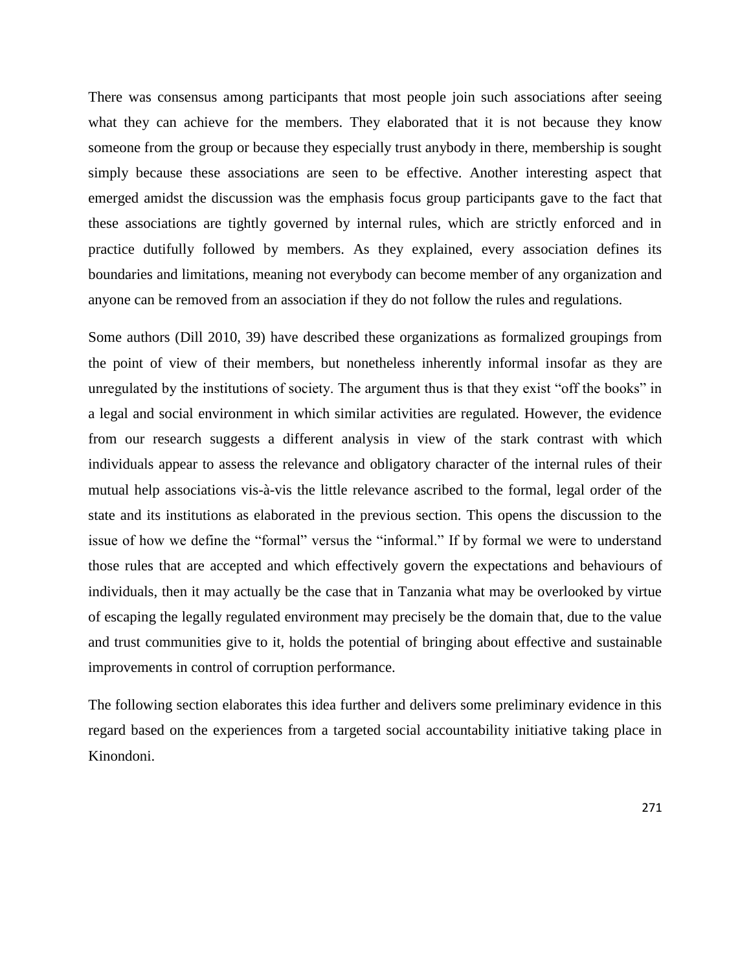There was consensus among participants that most people join such associations after seeing what they can achieve for the members. They elaborated that it is not because they know someone from the group or because they especially trust anybody in there, membership is sought simply because these associations are seen to be effective. Another interesting aspect that emerged amidst the discussion was the emphasis focus group participants gave to the fact that these associations are tightly governed by internal rules, which are strictly enforced and in practice dutifully followed by members. As they explained, every association defines its boundaries and limitations, meaning not everybody can become member of any organization and anyone can be removed from an association if they do not follow the rules and regulations.

Some authors (Dill 2010, 39) have described these organizations as formalized groupings from the point of view of their members, but nonetheless inherently informal insofar as they are unregulated by the institutions of society. The argument thus is that they exist "off the books" in a legal and social environment in which similar activities are regulated. However, the evidence from our research suggests a different analysis in view of the stark contrast with which individuals appear to assess the relevance and obligatory character of the internal rules of their mutual help associations vis-à-vis the little relevance ascribed to the formal, legal order of the state and its institutions as elaborated in the previous section. This opens the discussion to the issue of how we define the "formal" versus the "informal." If by formal we were to understand those rules that are accepted and which effectively govern the expectations and behaviours of individuals, then it may actually be the case that in Tanzania what may be overlooked by virtue of escaping the legally regulated environment may precisely be the domain that, due to the value and trust communities give to it, holds the potential of bringing about effective and sustainable improvements in control of corruption performance.

The following section elaborates this idea further and delivers some preliminary evidence in this regard based on the experiences from a targeted social accountability initiative taking place in Kinondoni.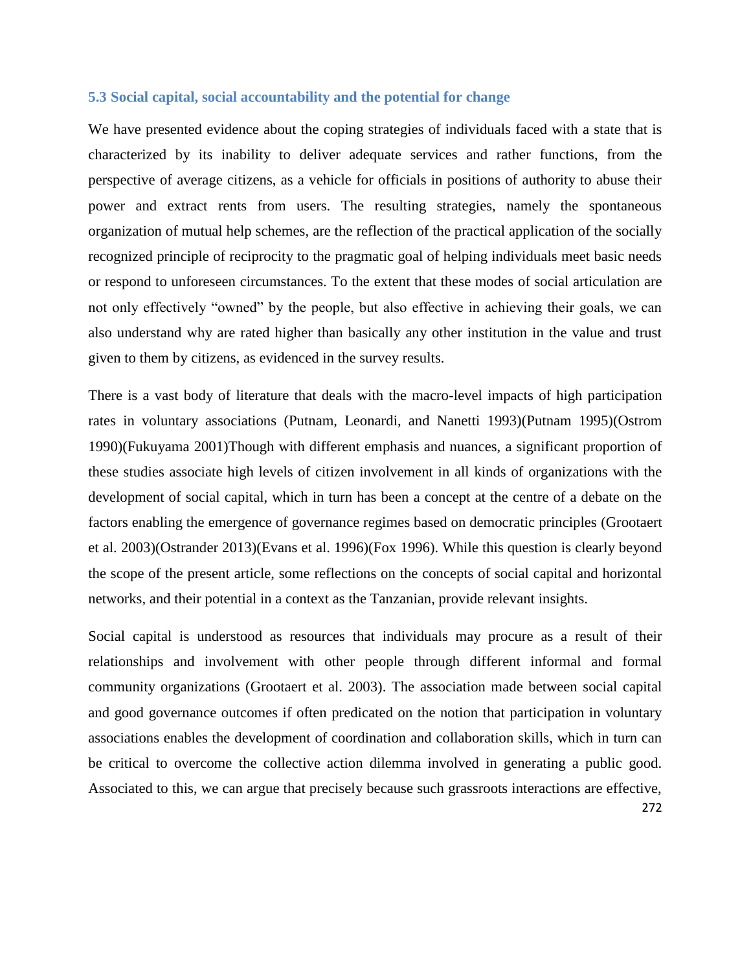### **5.3 Social capital, social accountability and the potential for change**

We have presented evidence about the coping strategies of individuals faced with a state that is characterized by its inability to deliver adequate services and rather functions, from the perspective of average citizens, as a vehicle for officials in positions of authority to abuse their power and extract rents from users. The resulting strategies, namely the spontaneous organization of mutual help schemes, are the reflection of the practical application of the socially recognized principle of reciprocity to the pragmatic goal of helping individuals meet basic needs or respond to unforeseen circumstances. To the extent that these modes of social articulation are not only effectively "owned" by the people, but also effective in achieving their goals, we can also understand why are rated higher than basically any other institution in the value and trust given to them by citizens, as evidenced in the survey results.

There is a vast body of literature that deals with the macro-level impacts of high participation rates in voluntary associations (Putnam, Leonardi, and Nanetti 1993)(Putnam 1995)(Ostrom 1990)(Fukuyama 2001)Though with different emphasis and nuances, a significant proportion of these studies associate high levels of citizen involvement in all kinds of organizations with the development of social capital, which in turn has been a concept at the centre of a debate on the factors enabling the emergence of governance regimes based on democratic principles (Grootaert et al. 2003)(Ostrander 2013)(Evans et al. 1996)(Fox 1996). While this question is clearly beyond the scope of the present article, some reflections on the concepts of social capital and horizontal networks, and their potential in a context as the Tanzanian, provide relevant insights.

272 Social capital is understood as resources that individuals may procure as a result of their relationships and involvement with other people through different informal and formal community organizations (Grootaert et al. 2003). The association made between social capital and good governance outcomes if often predicated on the notion that participation in voluntary associations enables the development of coordination and collaboration skills, which in turn can be critical to overcome the collective action dilemma involved in generating a public good. Associated to this, we can argue that precisely because such grassroots interactions are effective,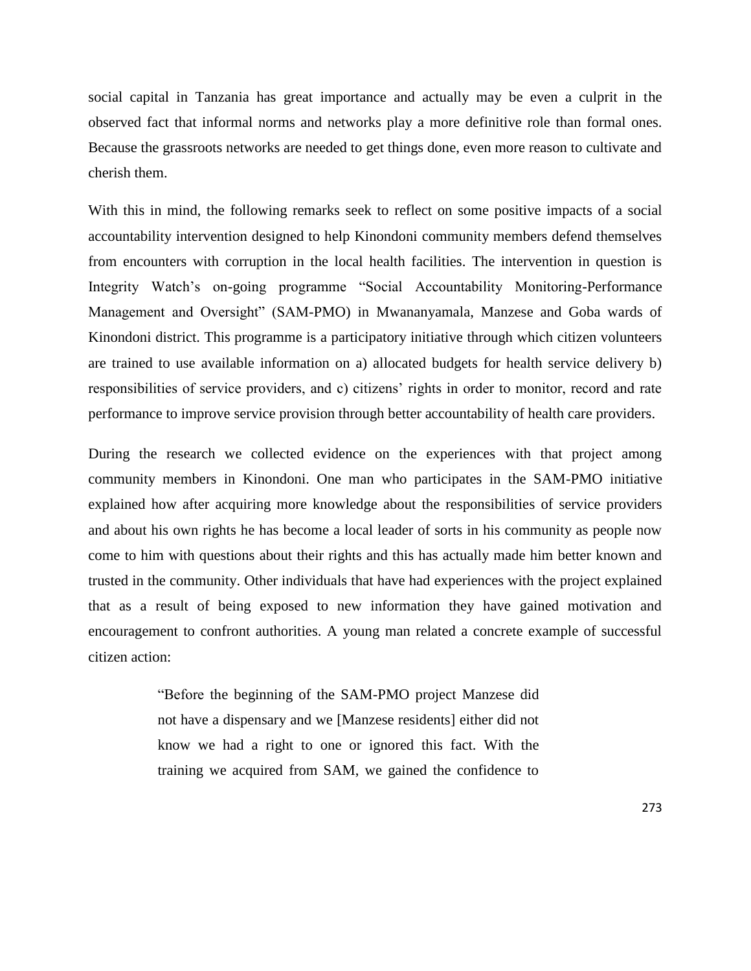social capital in Tanzania has great importance and actually may be even a culprit in the observed fact that informal norms and networks play a more definitive role than formal ones. Because the grassroots networks are needed to get things done, even more reason to cultivate and cherish them.

With this in mind, the following remarks seek to reflect on some positive impacts of a social accountability intervention designed to help Kinondoni community members defend themselves from encounters with corruption in the local health facilities. The intervention in question is Integrity Watch's on-going programme "Social Accountability Monitoring-Performance Management and Oversight" (SAM-PMO) in Mwananyamala, Manzese and Goba wards of Kinondoni district. This programme is a participatory initiative through which citizen volunteers are trained to use available information on a) allocated budgets for health service delivery b) responsibilities of service providers, and c) citizens' rights in order to monitor, record and rate performance to improve service provision through better accountability of health care providers.

During the research we collected evidence on the experiences with that project among community members in Kinondoni. One man who participates in the SAM-PMO initiative explained how after acquiring more knowledge about the responsibilities of service providers and about his own rights he has become a local leader of sorts in his community as people now come to him with questions about their rights and this has actually made him better known and trusted in the community. Other individuals that have had experiences with the project explained that as a result of being exposed to new information they have gained motivation and encouragement to confront authorities. A young man related a concrete example of successful citizen action:

> "Before the beginning of the SAM-PMO project Manzese did not have a dispensary and we [Manzese residents] either did not know we had a right to one or ignored this fact. With the training we acquired from SAM, we gained the confidence to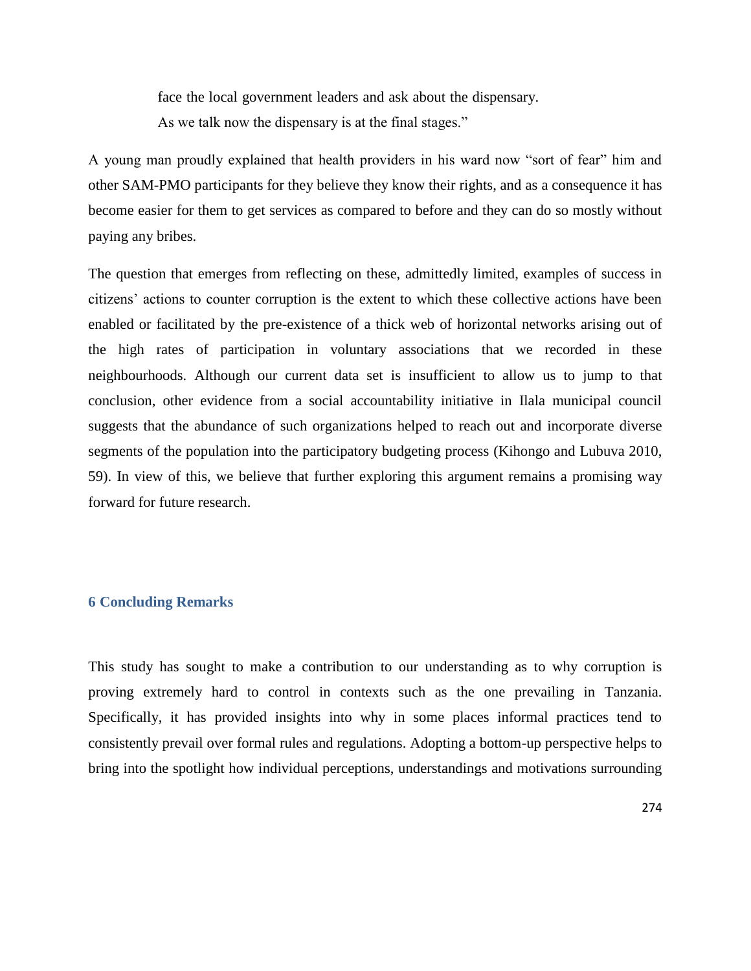face the local government leaders and ask about the dispensary. As we talk now the dispensary is at the final stages."

A young man proudly explained that health providers in his ward now "sort of fear" him and other SAM-PMO participants for they believe they know their rights, and as a consequence it has become easier for them to get services as compared to before and they can do so mostly without paying any bribes.

The question that emerges from reflecting on these, admittedly limited, examples of success in citizens' actions to counter corruption is the extent to which these collective actions have been enabled or facilitated by the pre-existence of a thick web of horizontal networks arising out of the high rates of participation in voluntary associations that we recorded in these neighbourhoods. Although our current data set is insufficient to allow us to jump to that conclusion, other evidence from a social accountability initiative in Ilala municipal council suggests that the abundance of such organizations helped to reach out and incorporate diverse segments of the population into the participatory budgeting process (Kihongo and Lubuva 2010, 59). In view of this, we believe that further exploring this argument remains a promising way forward for future research.

### **6 Concluding Remarks**

This study has sought to make a contribution to our understanding as to why corruption is proving extremely hard to control in contexts such as the one prevailing in Tanzania. Specifically, it has provided insights into why in some places informal practices tend to consistently prevail over formal rules and regulations. Adopting a bottom-up perspective helps to bring into the spotlight how individual perceptions, understandings and motivations surrounding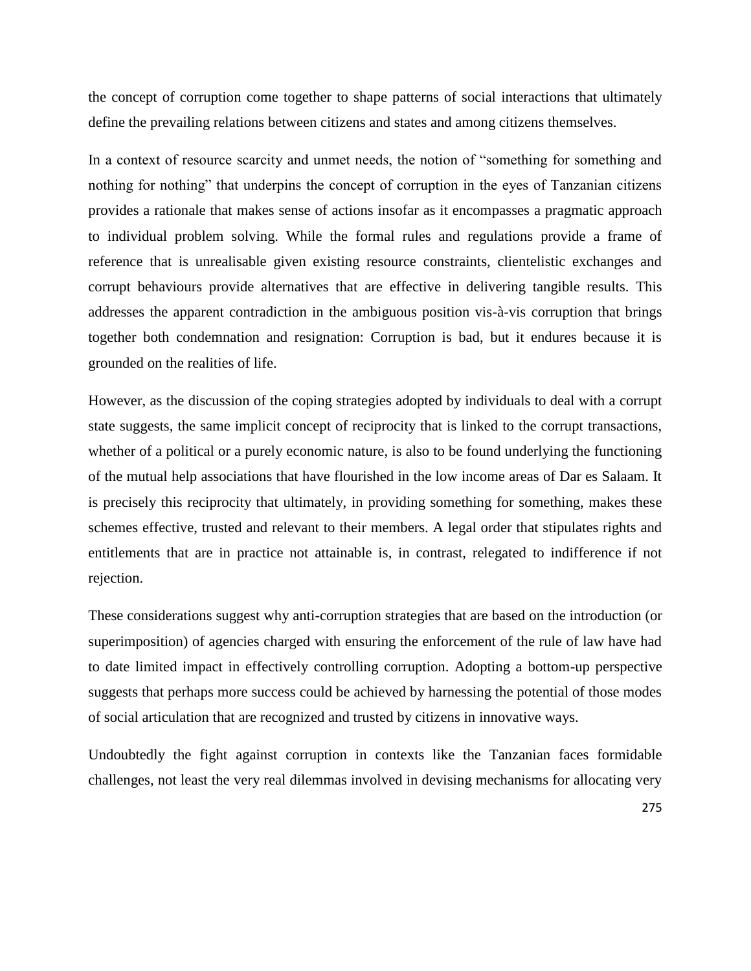the concept of corruption come together to shape patterns of social interactions that ultimately define the prevailing relations between citizens and states and among citizens themselves.

In a context of resource scarcity and unmet needs, the notion of "something for something and nothing for nothing" that underpins the concept of corruption in the eyes of Tanzanian citizens provides a rationale that makes sense of actions insofar as it encompasses a pragmatic approach to individual problem solving. While the formal rules and regulations provide a frame of reference that is unrealisable given existing resource constraints, clientelistic exchanges and corrupt behaviours provide alternatives that are effective in delivering tangible results. This addresses the apparent contradiction in the ambiguous position vis-à-vis corruption that brings together both condemnation and resignation: Corruption is bad, but it endures because it is grounded on the realities of life.

However, as the discussion of the coping strategies adopted by individuals to deal with a corrupt state suggests, the same implicit concept of reciprocity that is linked to the corrupt transactions, whether of a political or a purely economic nature, is also to be found underlying the functioning of the mutual help associations that have flourished in the low income areas of Dar es Salaam. It is precisely this reciprocity that ultimately, in providing something for something, makes these schemes effective, trusted and relevant to their members. A legal order that stipulates rights and entitlements that are in practice not attainable is, in contrast, relegated to indifference if not rejection.

These considerations suggest why anti-corruption strategies that are based on the introduction (or superimposition) of agencies charged with ensuring the enforcement of the rule of law have had to date limited impact in effectively controlling corruption. Adopting a bottom-up perspective suggests that perhaps more success could be achieved by harnessing the potential of those modes of social articulation that are recognized and trusted by citizens in innovative ways.

Undoubtedly the fight against corruption in contexts like the Tanzanian faces formidable challenges, not least the very real dilemmas involved in devising mechanisms for allocating very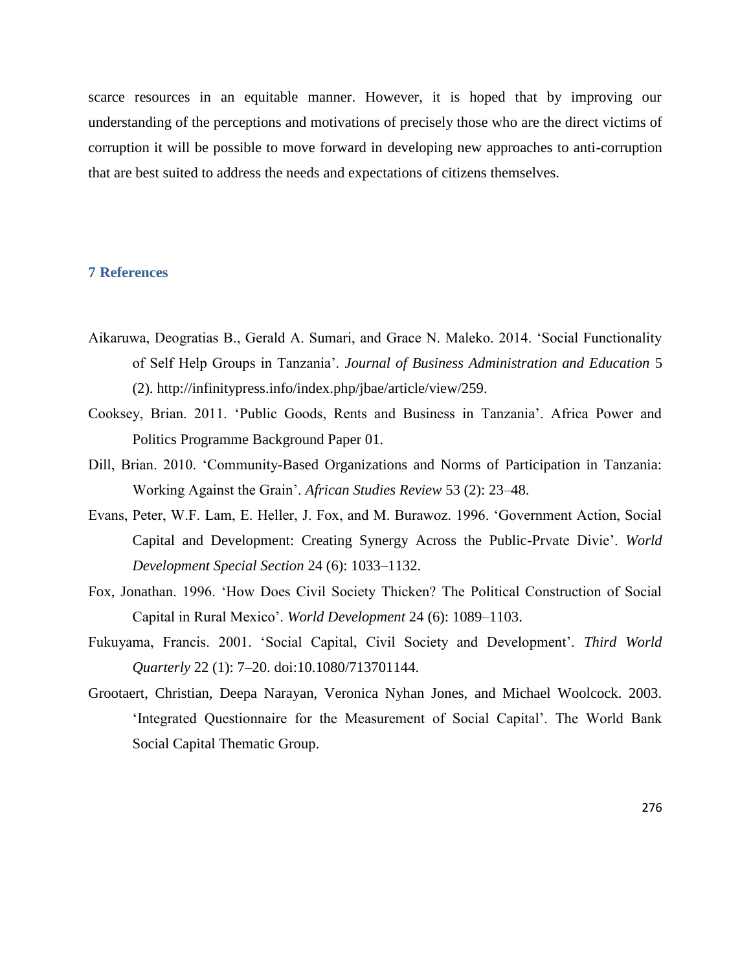scarce resources in an equitable manner. However, it is hoped that by improving our understanding of the perceptions and motivations of precisely those who are the direct victims of corruption it will be possible to move forward in developing new approaches to anti-corruption that are best suited to address the needs and expectations of citizens themselves.

### **7 References**

- Aikaruwa, Deogratias B., Gerald A. Sumari, and Grace N. Maleko. 2014. 'Social Functionality of Self Help Groups in Tanzania'. *Journal of Business Administration and Education* 5 (2). http://infinitypress.info/index.php/jbae/article/view/259.
- Cooksey, Brian. 2011. 'Public Goods, Rents and Business in Tanzania'. Africa Power and Politics Programme Background Paper 01.
- Dill, Brian. 2010. 'Community-Based Organizations and Norms of Participation in Tanzania: Working Against the Grain'. *African Studies Review* 53 (2): 23–48.
- Evans, Peter, W.F. Lam, E. Heller, J. Fox, and M. Burawoz. 1996. 'Government Action, Social Capital and Development: Creating Synergy Across the Public-Prvate Divie'. *World Development Special Section* 24 (6): 1033–1132.
- Fox, Jonathan. 1996. 'How Does Civil Society Thicken? The Political Construction of Social Capital in Rural Mexico'. *World Development* 24 (6): 1089–1103.
- Fukuyama, Francis. 2001. 'Social Capital, Civil Society and Development'. *Third World Quarterly* 22 (1): 7–20. doi:10.1080/713701144.
- Grootaert, Christian, Deepa Narayan, Veronica Nyhan Jones, and Michael Woolcock. 2003. 'Integrated Questionnaire for the Measurement of Social Capital'. The World Bank Social Capital Thematic Group.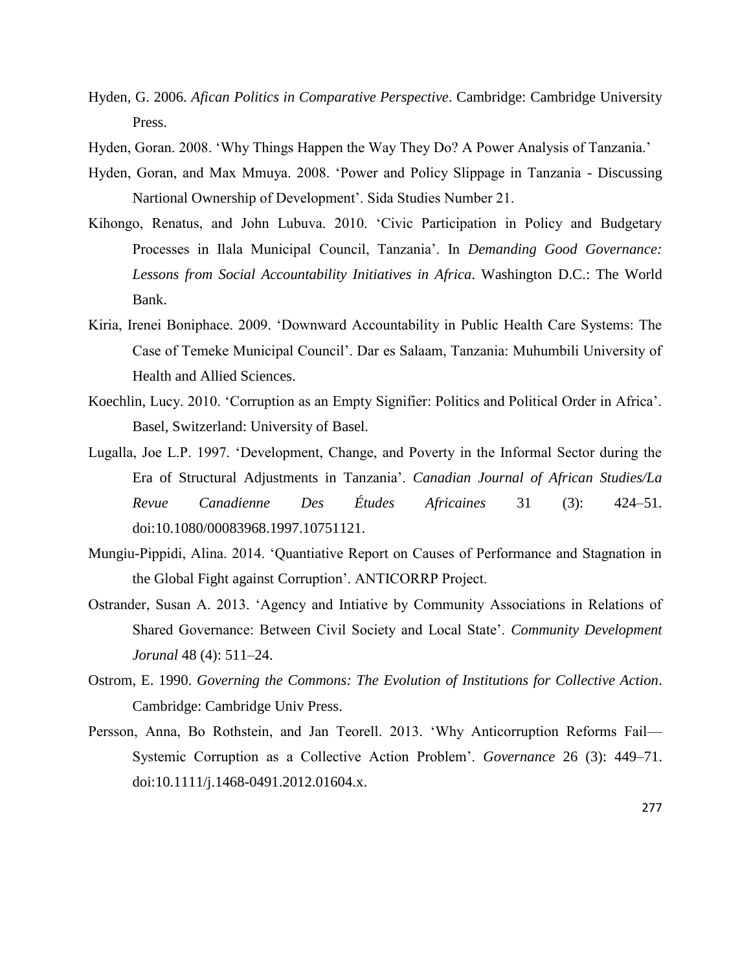- Hyden, G. 2006. *Afican Politics in Comparative Perspective*. Cambridge: Cambridge University Press.
- Hyden, Goran. 2008. 'Why Things Happen the Way They Do? A Power Analysis of Tanzania.'
- Hyden, Goran, and Max Mmuya. 2008. 'Power and Policy Slippage in Tanzania Discussing Nartional Ownership of Development'. Sida Studies Number 21.
- Kihongo, Renatus, and John Lubuva. 2010. 'Civic Participation in Policy and Budgetary Processes in Ilala Municipal Council, Tanzania'. In *Demanding Good Governance: Lessons from Social Accountability Initiatives in Africa*. Washington D.C.: The World Bank.
- Kiria, Irenei Boniphace. 2009. 'Downward Accountability in Public Health Care Systems: The Case of Temeke Municipal Council'. Dar es Salaam, Tanzania: Muhumbili University of Health and Allied Sciences.
- Koechlin, Lucy. 2010. 'Corruption as an Empty Signifier: Politics and Political Order in Africa'. Basel, Switzerland: University of Basel.
- Lugalla, Joe L.P. 1997. 'Development, Change, and Poverty in the Informal Sector during the Era of Structural Adjustments in Tanzania'. *Canadian Journal of African Studies/La Revue Canadienne Des Études Africaines* 31 (3): 424–51. doi:10.1080/00083968.1997.10751121.
- Mungiu-Pippidi, Alina. 2014. 'Quantiative Report on Causes of Performance and Stagnation in the Global Fight against Corruption'. ANTICORRP Project.
- Ostrander, Susan A. 2013. 'Agency and Intiative by Community Associations in Relations of Shared Governance: Between Civil Society and Local State'. *Community Development Jorunal* 48 (4): 511–24.
- Ostrom, E. 1990. *Governing the Commons: The Evolution of Institutions for Collective Action*. Cambridge: Cambridge Univ Press.
- Persson, Anna, Bo Rothstein, and Jan Teorell. 2013. 'Why Anticorruption Reforms Fail— Systemic Corruption as a Collective Action Problem'. *Governance* 26 (3): 449–71. doi:10.1111/j.1468-0491.2012.01604.x.